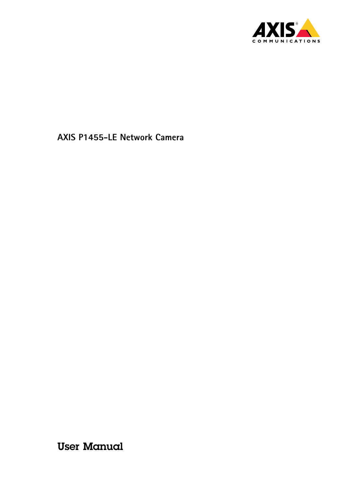

User Manual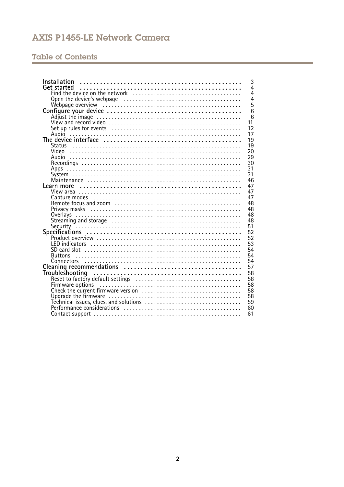# **Table of Contents**

| Installation<br>3                                           |
|-------------------------------------------------------------|
| Get started<br>$\overline{4}$                               |
| 4                                                           |
| $\overline{4}$                                              |
| $\overline{5}$                                              |
| 6                                                           |
| 6                                                           |
| 11                                                          |
| 12                                                          |
| 17<br>Audio                                                 |
| 19                                                          |
| 19<br><b>Status</b>                                         |
| 20                                                          |
| 29                                                          |
| 30                                                          |
| 31<br>Apps                                                  |
| 31                                                          |
| 46                                                          |
| 47<br>Learn more                                            |
| 47                                                          |
| 47                                                          |
| 48                                                          |
| 48                                                          |
| 48                                                          |
| 48                                                          |
| 51                                                          |
| 52                                                          |
| 52                                                          |
| 53                                                          |
| 54                                                          |
| 54<br><b>Buttons</b>                                        |
| 54                                                          |
| 57                                                          |
| 58                                                          |
| 58                                                          |
| Reset to factory default settings<br>Firmware options<br>58 |
| 58                                                          |
| 58                                                          |
| 59                                                          |
| 60                                                          |
| 61                                                          |
|                                                             |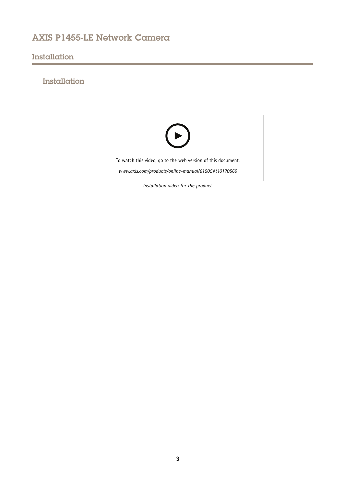# <span id="page-2-0"></span>Installation

# Installation

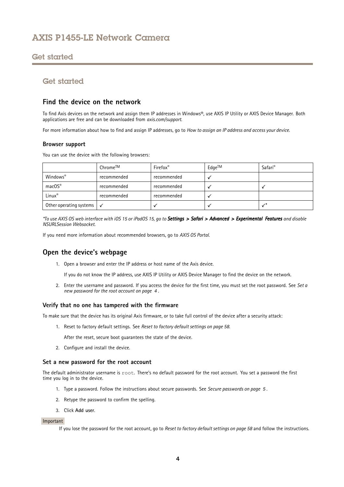## <span id="page-3-0"></span>Get started

# Get started

## **Find the device on the network**

To find Axis devices on the network and assign them IP addresses in Windows®, use AXIS IP Utility or AXIS Device Manager. Both applications are free and can be downloaded from *[axis.com/support](https://www.axis.com/support)*.

For more information about how to find and assign IP addresses, go to *How to [assign](https://www.axis.com/products/online-manual/i90000) an IP address and access your device*.

## **Browser support**

You can use the device with the following browsers:

|                                       | Chrome™     | Firefox <sup>®</sup> | Edge™ | Safari <sup>®</sup> |
|---------------------------------------|-------------|----------------------|-------|---------------------|
| Windows®                              | recommended | recommended          |       |                     |
| $macOS^*$                             | recommended | recommended          |       |                     |
| Linux®                                | recommended | recommended          |       |                     |
| Other operating systems $\mathcal{A}$ |             |                      |       |                     |

\*To use AXIS OS web interface with iOS 15 or iPadOS 15, go to Settings > Safari > Advanced > Experimental Features and disable *NSURLSession Websocket.*

If you need more information about recommended browsers, go to *AXIS OS [Portal](https://help.axis.com/axis-os#browser-support)*.

## **Open the device's webpage**

1. Open <sup>a</sup> browser and enter the IP address or host name of the Axis device.

If you do not know the IP address, use AXIS IP Utility or AXIS Device Manager to find the device on the network.

2. Enter the username and password. If you access the device for the first time, you must set the root password. See *Set <sup>a</sup> new password for the root account on page <sup>4</sup>* .

### **Verify that no one has tampered with the firmware**

To make sure that the device has its original Axis firmware, or to take full control of the device after <sup>a</sup> security attack:

1. Reset to factory default settings. See *Reset to factory default [settings](#page-57-0) on page [58](#page-57-0)*.

After the reset, secure boot guarantees the state of the device.

2. Configure and install the device.

### **Set <sup>a</sup> new password for the root account**

The default administrator username is root. There's no default password for the root account. You set <sup>a</sup> password the first time you log in to the device.

- 1. Type <sup>a</sup> password. Follow the instructions about secure passwords. See *Secure [passwords](#page-4-0) on page [5](#page-4-0)* .
- 2. Retype the password to confirm the spelling.
- 3. Click **Add user**.

### Important

If you lose the password for the root account, go to *Reset to factory default [settings](#page-57-0) on page [58](#page-57-0)* and follow the instructions.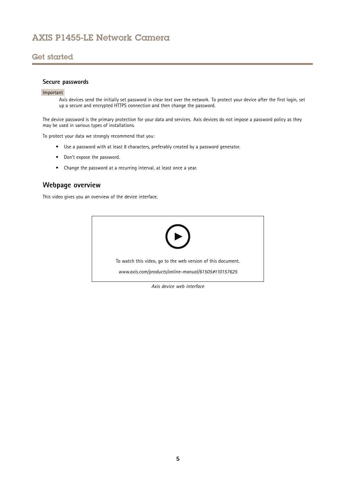# <span id="page-4-0"></span>Get started

## **Secure passwords**

### Important

Axis devices send the initially set password in clear text over the network. To protect your device after the first login, set up <sup>a</sup> secure and encrypted HTTPS connection and then change the password.

The device password is the primary protection for your data and services. Axis devices do not impose <sup>a</sup> password policy as they may be used in various types of installations.

To protect your data we strongly recommend that you:

- Use <sup>a</sup> password with at least 8 characters, preferably created by <sup>a</sup> password generator.
- Don't expose the password.
- Change the password at <sup>a</sup> recurring interval, at least once <sup>a</sup> year.

## **Webpage overview**

This video gives you an overview of the device interface.



**5**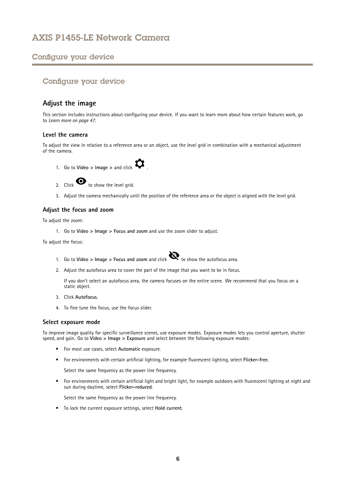# <span id="page-5-0"></span>Configure your device

# Configure your device

## **Adjust the image**

This section includes instructions about configuring your device. If you want to learn more about how certain features work, go to *[Learn](#page-46-0) more on page [47](#page-46-0)*.

## **Level the camera**

To adjust the view in relation to <sup>a</sup> reference area or an object, use the level grid in combination with <sup>a</sup> mechanical adjustment of the camera.



2. Click  $\bullet$  to show the level grid.

3. Adjust the camera mechanically until the position of the reference area or the object is aligned with the level grid.

## **Adjust the focus and zoom**

To adjust the zoom:

1. Go to **Video <sup>&</sup>gt; Image <sup>&</sup>gt; Focus and zoom** and use the zoom slider to adjust.

To adjust the focus:

- 1. Go to **Video <sup>&</sup>gt; Image <sup>&</sup>gt; Focus and zoom** and click to show the autofocus area.
- 2. Adjust the autofocus area to cover the part of the image that you want to be in focus.

If you don't select an autofocus area, the camera focuses on the entire scene. We recommend that you focus on <sup>a</sup> static object.

- 3. Click **Autofocus**.
- 4. To fine tune the focus, use the focus slider.

### **Select exposure mode**

To improve image quality for specific surveillance scenes, use exposure modes. Exposure modes lets you control aperture, shutter speed, and gain. Go to **Video <sup>&</sup>gt; Image <sup>&</sup>gt; Exposure** and select between the following exposure modes:

- For most use cases, select **Automatic** exposure.
- For environments with certain artificial lighting, for example fluorescent lighting, select **Flicker-free**.

Select the same frequency as the power line frequency.

• For environments with certain artificial light and bright light, for example outdoors with fluorescent lighting at night and sun during daytime, select **Flicker-reduced**.

Select the same frequency as the power line frequency.

• To lock the current exposure settings, select **Hold current**.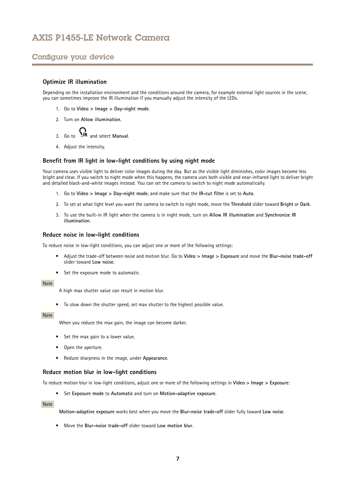# Configure your device

## **Optimize IR illumination**

Depending on the installation environment and the conditions around the camera, for example external light sources in the scene, you can sometimes improve the IR illumination if you manually adjust the intensity of the LEDs.

- 1. Go to **Video <sup>&</sup>gt; Image <sup>&</sup>gt; Day-night mode**.
- 2. Turn on **Allow illumination**.

- 3. Go to **AIR** and select Manual.
- 4. Adjust the intensity.

## **Benefit from IR light in low-light conditions by using night mode**

Your camera uses visible light to deliver color images during the day. But as the visible light diminishes, color images become less bright and clear. If you switch to night mode when this happens, the camera uses both visible and near-infrared light to deliver bright and detailed black-and-white images instead. You can set the camera to switch to night mode automatically.

- 1. Go to **Video <sup>&</sup>gt; Image <sup>&</sup>gt; Day-night mode**, and make sure that the **IR-cut filter** is set to **Auto**.
- 2. To set at what light level you want the camera to switch to night mode, move the **Threshold** slider toward **Bright** or **Dark**.
- 3. To use the built-in IR light when the camera is in night mode, turn on **Allow IR illumination** and **Synchronize IR illumination**.

## **Reduce noise in low-light conditions**

To reduce noise in low-light conditions, you can adjust one or more of the following settings:

- • Adjust the trade-off between noise and motion blur. Go to **Video <sup>&</sup>gt; Image <sup>&</sup>gt; Exposure** and move the **Blur-noise trade-off** slider toward **Low noise**.
- Set the exposure mode to automatic.

#### Note

A high max shutter value can result in motion blur.

• To slow down the shutter speed, set max shutter to the highest possible value.

## Note

When you reduce the max gain, the image can become darker.

- Set the max gain to <sup>a</sup> lower value.
- •Open the aperture.
- Reduce sharpness in the image, under **Appearance**.

### **Reduce motion blur in low-light conditions**

To reduce motion blur in low-light conditions, adjust one or more of the following settings in **Video <sup>&</sup>gt; Image <sup>&</sup>gt; Exposure**:

• Set **Exposure mode** to **Automatic** and turn on **Motion-adaptive exposure**.

#### Note

**Motion-adaptive exposure** works best when you move the **Blur-noise trade-off** slider fully toward **Low noise**.

• Move the **Blur-noise trade-off** slider toward **Low motion blur**.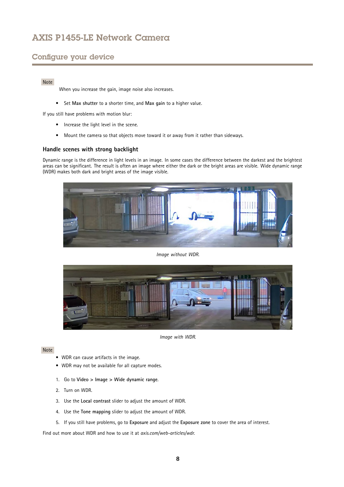# Configure your device

### Note

When you increase the gain, image noise also increases.

• Set **Max shutter** to <sup>a</sup> shorter time, and **Max gain** to <sup>a</sup> higher value.

If you still have problems with motion blur:

- Increase the light level in the scene.
- Mount the camera so that objects move toward it or away from it rather than sideways.

## **Handle scenes with strong backlight**

Dynamic range is the difference in light levels in an image. In some cases the difference between the darkest and the brightest areas can be significant. The result is often an image where either the dark or the bright areas are visible. Wide dynamic range (WDR) makes both dark and bright areas of the image visible.



*Image without WDR.*



*Image with WDR.*

#### Note

- WDR can cause artifacts in the image.
- WDR may not be available for all capture modes.
- 1. Go to **Video <sup>&</sup>gt; Image <sup>&</sup>gt; Wide dynamic range**.
- 2. Turn on WDR.
- 3. Use the **Local contrast** slider to adjust the amount of WDR.
- 4. Use the **Tone mapping** slider to adjust the amount of WDR.
- 5. If you still have problems, go to **Exposure** and adjust the **Exposure zone** to cover the area of interest.

Find out more about WDR and how to use it at *[axis.com/web-articles/wdr](https://www.axis.com/sv-se/learning/web-articles/wide-dynamic-range/index)*.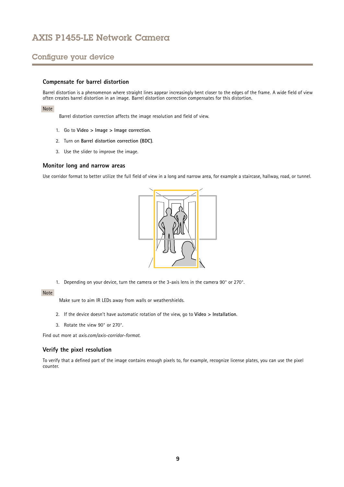# Configure your device

## **Compensate for barrel distortion**

Barrel distortion is <sup>a</sup> phenomenon where straight lines appear increasingly bent closer to the edges of the frame. A wide field of view often creates barrel distortion in an image. Barrel distortion correction compensates for this distortion.

#### Note

Barrel distortion correction affects the image resolution and field of view.

- 1. Go to **Video <sup>&</sup>gt; Image <sup>&</sup>gt; Image correction**.
- 2. Turn on **Barrel distortion correction (BDC)**.
- 3. Use the slider to improve the image.

### **Monitor long and narrow areas**

Use corridor format to better utilize the full field of view in <sup>a</sup> long and narrow area, for example <sup>a</sup> staircase, hallway, road, or tunnel.



1. Depending on your device, turn the camera or the 3-axis lens in the camera 90° or 270°.

### Note

Make sure to aim IR LEDs away from walls or weathershields.

- 2. If the device doesn't have automatic rotation of the view, go to **Video <sup>&</sup>gt; Installation**.
- 3. Rotate the view 90° or 270°.

Find out more at *[axis.com/axis-corridor-format](https://www.axis.com/axis-corridor-format)*.

### **Verify the pixel resolution**

To verify that <sup>a</sup> defined part of the image contains enough pixels to, for example, recognize license plates, you can use the pixel counter.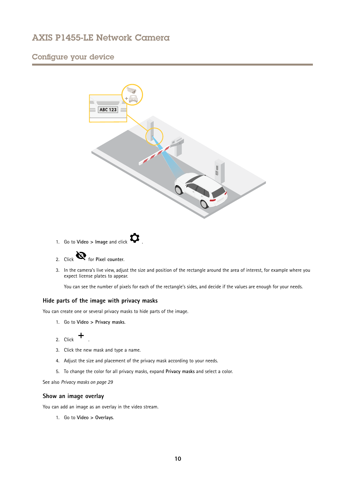# Configure your device



- 1. Go to **Video**  $>$  **Image** and click  $\bullet$
- 2. Click **R** for Pixel counter.
- 3. In the camera's live view, adjust the size and position of the rectangle around the area of interest, for example where you expect license plates to appear.

You can see the number of pixels for each of the rectangle's sides, and decide if the values are enough for your needs.

## **Hide parts of the image with privacy masks**

You can create one or several privacy masks to hide parts of the image.

- 1. Go to **Video <sup>&</sup>gt; Privacy masks**.
- 2. Click  $+$
- 3. Click the new mask and type <sup>a</sup> name.
- 4. Adjust the size and placement of the privacy mask according to your needs.
- 5. To change the color for all privacy masks, expand **Privacy masks** and select <sup>a</sup> color.

See also *[Privacy](#page-28-0) masks on page [29](#page-28-0)*

## **Show an image overlay**

You can add an image as an overlay in the video stream.

1. Go to **Video <sup>&</sup>gt; Overlays**.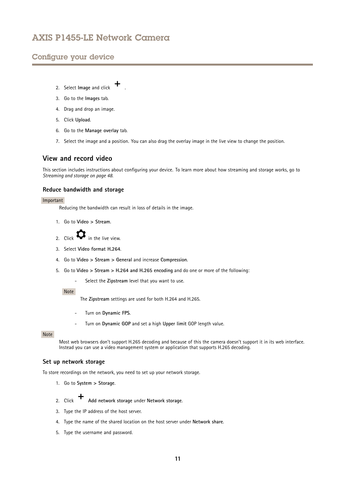## <span id="page-10-0"></span>Configure your device

- 2. Select **Image** and click **+**
- 3. Go to the **Images** tab.
- 4. Drag and drop an image.
- 5. Click **Upload**.
- 6. Go to the **Manage overlay** tab.
- 7. Select the image and <sup>a</sup> position. You can also drag the overlay image in the live view to change the position.

## **View and record video**

This section includes instructions about configuring your device. To learn more about how streaming and storage works, go to *[Streaming](#page-47-0) and storage on page [48](#page-47-0)*.

## **Reduce bandwidth and storage**

### Important

Reducing the bandwidth can result in loss of details in the image.

- 1. Go to **Video <sup>&</sup>gt; Stream**.
- 2. Click  $\bullet$  in the live view.
- 3. Select **Video format H.264**.
- 4. Go to **Video <sup>&</sup>gt; Stream <sup>&</sup>gt; General** and increase **Compression**.
- 5. Go to **Video <sup>&</sup>gt; Stream <sup>&</sup>gt; H.264 and H.265 encoding** and do one or more of the following:
	- Select the **Zipstream** level that you want to use.

## Note

The **Zipstream** settings are used for both H.264 and H.265.

- Turn on **Dynamic FPS**.
- Turn on **Dynamic GOP** and set <sup>a</sup> high **Upper limit** GOP length value.

## Note

Most web browsers don't support H.265 decoding and because of this the camera doesn't support it in its web interface. Instead you can use <sup>a</sup> video management system or application that supports H.265 decoding.

## **Set up network storage**

To store recordings on the network, you need to set up your network storage.

- 1. Go to **System <sup>&</sup>gt; Storage**.
- 2. Click **Add network storage** under **Network storage**.
- 3. Type the IP address of the host server.
- 4. Type the name of the shared location on the host server under **Network share**.
- 5. Type the username and password.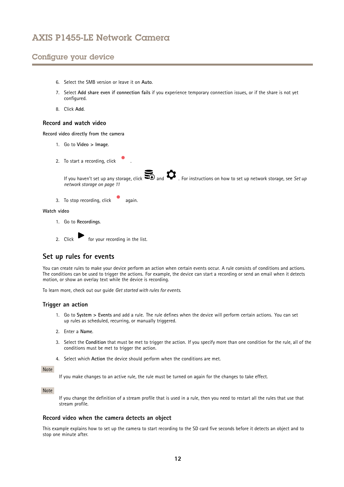# <span id="page-11-0"></span>Configure your device

- 6. Select the SMB version or leave it on **Auto**.
- 7. Select **Add share even if connection fails** if you experience temporary connection issues, or if the share is not yet configured.
- 8. Click **Add**.

### **Record and watch video**

**Record video directly from the camera**

- 1. Go to **Video <sup>&</sup>gt; Image**.
- 2. To start a recording, click
	- If you haven't set up any storage, click  $\sum_{n=0}^{\infty}$  and  $\sum_{n=0}^{\infty}$  For instructions on how to set up network storage, see *[Set](#page-10-0) up network [storage](#page-10-0) on page [11](#page-10-0)*
- 3. To stop recording, click again.

#### **Watch video**

- 1. Go to **Recordings**.
- 2. Click for your recording in the list.

## **Set up rules for events**

You can create rules to make your device perform an action when certain events occur. A rule consists of conditions and actions. The conditions can be used to trigger the actions. For example, the device can start <sup>a</sup> recording or send an email when it detects motion, or show an overlay text while the device is recording.

To learn more, check out our guide *Get [started](https://help.axis.com/get-started-with-rules-for-events) with rules for events*.

### **Trigger an action**

- 1. Go to **System <sup>&</sup>gt; Events** and add <sup>a</sup> rule. The rule defines when the device will perform certain actions. You can set up rules as scheduled, recurring, or manually triggered.
- 2. Enter a **Name**.
- 3. Select the **Condition** that must be met to trigger the action. If you specify more than one condition for the rule, all of the conditions must be met to trigger the action.
- 4. Select which **Action** the device should perform when the conditions are met.

## Note

If you make changes to an active rule, the rule must be turned on again for the changes to take effect.

#### Note

If you change the definition of <sup>a</sup> stream profile that is used in <sup>a</sup> rule, then you need to restart all the rules that use that stream profile.

## **Record video when the camera detects an object**

This example explains how to set up the camera to start recording to the SD card five seconds before it detects an object and to stop one minute after.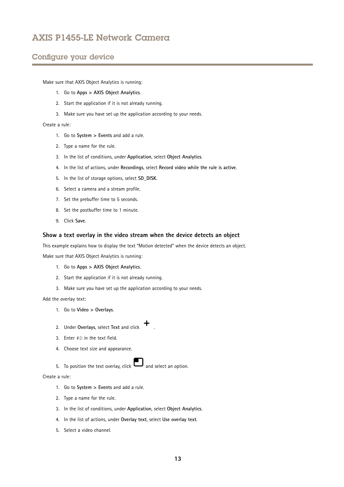## Configure your device

Make sure that AXIS Object Analytics is running:

- 1. Go to **Apps <sup>&</sup>gt; AXIS Object Analytics**.
- 2. Start the application if it is not already running.
- 3. Make sure you have set up the application according to your needs.

### Create <sup>a</sup> rule:

- 1. Go to **System <sup>&</sup>gt; Events** and add <sup>a</sup> rule.
- 2. Type <sup>a</sup> name for the rule.
- 3. In the list of conditions, under **Application**, select **Object Analytics**.
- 4. In the list of actions, under **Recordings**, select **Record video while the rule is active**.
- 5. In the list of storage options, select **SD\_DISK**.
- 6. Select <sup>a</sup> camera and <sup>a</sup> stream profile.
- 7. Set the prebuffer time to 5 seconds.
- 8. Set the postbuffer time to <sup>1</sup> minute.
- 9. Click **Save**.

### **Show <sup>a</sup> text overlay in the video stream when the device detects an object**

This example explains how to display the text "Motion detected" when the device detects an object.

Make sure that AXIS Object Analytics is running:

- 1. Go to **Apps <sup>&</sup>gt; AXIS Object Analytics**.
- 2. Start the application if it is not already running.
- 3. Make sure you have set up the application according to your needs.

Add the overlay text:

- 1. Go to **Video <sup>&</sup>gt; Overlays**.
- 2. Under **Overlays**, select **Text** and click .
- 3. Enter #D in the text field.
- 4. Choose text size and appearance.
- 5. To position the text overlay, click  $\Box$  and select an option.

## Create <sup>a</sup> rule:

- 1. Go to **System <sup>&</sup>gt; Events** and add <sup>a</sup> rule.
- 2. Type <sup>a</sup> name for the rule.
- 3. In the list of conditions, under **Application**, select **Object Analytics**.
- 4. In the list of actions, under **Overlay text**, select **Use overlay text**.
- 5. Select <sup>a</sup> video channel.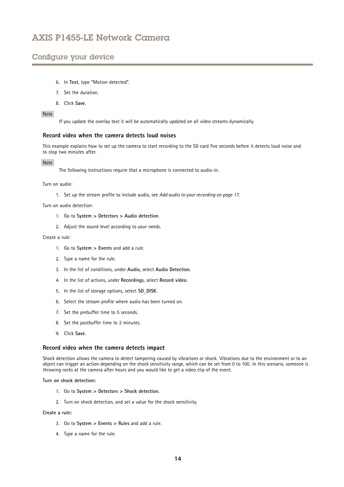# Configure your device

- 6. In **Text**, type "Motion detected".
- 7. Set the duration.
- 8. Click **Save**.

### Note

If you update the overlay text it will be automatically updated on all video streams dynamically.

## **Record video when the camera detects loud noises**

This example explains how to set up the camera to start recording to the SD card five seconds before it detects loud noise and to stop two minutes after.

#### Note

The following instructions require that <sup>a</sup> microphone is connected to audio-in.

Turn on audio:

1. Set up the stream profile to include audio, see *Add audio to your [recording](#page-16-0) on page [17](#page-16-0)*.

Turn on audio detection:

- 1. Go to **System <sup>&</sup>gt; Detectors <sup>&</sup>gt; Audio detection**.
- 2. Adjust the sound level according to your needs.

## Create <sup>a</sup> rule:

- 1. Go to **System <sup>&</sup>gt; Events** and add <sup>a</sup> rule.
- 2. Type <sup>a</sup> name for the rule.
- 3. In the list of conditions, under **Audio**, select **Audio Detection**.
- 4. In the list of actions, under **Recordings**, select **Record video**.
- 5. In the list of storage options, select **SD\_DISK**.
- 6. Select the stream profile where audio has been turned on.
- 7. Set the prebuffer time to 5 seconds.
- 8. Set the postbuffer time to 2 minutes.
- 9. Click **Save**.

### **Record video when the camera detects impact**

Shock detection allows the camera to detect tampering caused by vibrations or shock. Vibrations due to the environment or to an object can trigger an action depending on the shock sensitivity range, which can be set from 0 to 100. In this scenario, someone is throwing rocks at the camera after hours and you would like to get <sup>a</sup> video clip of the event.

**Turn on shock detection:**

- 1. Go to **System <sup>&</sup>gt; Detectors <sup>&</sup>gt; Shock detection**.
- 2. Turn on shock detection, and set <sup>a</sup> value for the shock sensitivity.

#### **Create <sup>a</sup> rule:**

- 3. Go to **System <sup>&</sup>gt; Events <sup>&</sup>gt; Rules** and add <sup>a</sup> rule.
- 4. Type <sup>a</sup> name for the rule.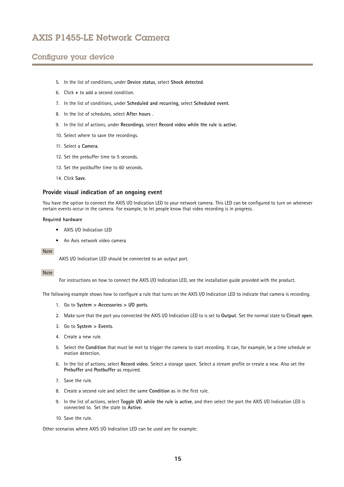# Configure your device

- 5. In the list of conditions, under **Device status**, select **Shock detected**.
- 6. Click **<sup>+</sup>** to add <sup>a</sup> second condition.
- 7. In the list of conditions, under **Scheduled and recurring**, select **Scheduled event**.
- 8. In the list of schedules, select **After hours** .
- 9. In the list of actions, under **Recordings**, select **Record video while the rule is active**.
- 10. Select where to save the recordings.
- 11. Select <sup>a</sup> **Camera**.
- 12. Set the prebuffer time to 5 seconds.
- 13. Set the postbuffer time to 60 seconds.
- 14. Click **Save**.

## **Provide visual indication of an ongoing event**

You have the option to connect the AXIS I/O Indication LED to your network camera. This LED can be configured to turn on whenever certain events occur in the camera. For example, to let people know that video recording is in progress.

#### **Required hardware**

- AXIS I/O Indication LED
- An Axis network video camera

#### Note

AXIS I/O Indication LED should be connected to an output port.

#### Note

For instructions on how to connect the AXIS I/O Indication LED, see the installation guide provided with the product.

The following example shows how to configure a rule that turns on the AXIS I/O Indication LED to indicate that camera is recording.

- 1. Go to **System <sup>&</sup>gt; Accessories <sup>&</sup>gt; I/O ports**.
- 2. Make sure that the port you connected the AXIS I/O Indication LED to is set to **Output**. Set the normal state to **Circuit open**.
- 3. Go to **System <sup>&</sup>gt; Events**.
- 4. Create <sup>a</sup> new rule.
- 5. Select the **Condition** that must be met to trigger the camera to start recording. It can, for example, be <sup>a</sup> time schedule or motion detection.
- 6. In the list of actions, select **Record video**. Select <sup>a</sup> storage space. Select <sup>a</sup> stream profile or create <sup>a</sup> new. Also set the **Prebuffer** and **Postbuffer** as required.
- 7. Save the rule.
- 8. Create <sup>a</sup> second rule and select the same **Condition** as in the first rule.
- 9. In the list of actions, select **Toggle I/O while the rule is active**, and then select the port the AXIS I/O Indication LED is connected to. Set the state to **Active**.
- 10. Save the rule.

Other scenarios where AXIS I/O Indication LED can be used are for example: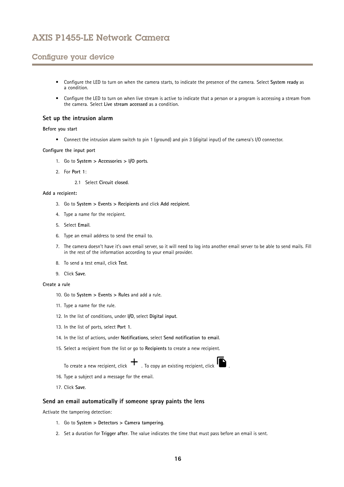# Configure your device

- • Configure the LED to turn on when the camera starts, to indicate the presence of the camera. Select **System ready** as a condition.
- • Configure the LED to turn on when live stream is active to indicate that <sup>a</sup> person or <sup>a</sup> program is accessing <sup>a</sup> stream from the camera. Select **Live stream accessed** as <sup>a</sup> condition.

## **Set up the intrusion alarm**

### **Before you start**

• Connect the intrusion alarm switch to pin <sup>1</sup> (ground) and pin <sup>3</sup> (digital input) of the camera's I/O connector.

#### **Configure the input port**

- 1. Go to **System <sup>&</sup>gt; Accessories <sup>&</sup>gt; I/O ports**.
- 2. For **Port 1**:
	- 2.1 Select **Circuit closed**.

#### **Add <sup>a</sup> recipient:**

- 3. Go to **System <sup>&</sup>gt; Events <sup>&</sup>gt; Recipients** and click **Add recipient**.
- 4. Type <sup>a</sup> name for the recipient.
- 5. Select **Email**.
- 6. Type an email address to send the email to.
- 7. The camera doesn't have it's own email server, so it will need to log into another email server to be able to send mails. Fill in the rest of the information according to your email provider.
- 8. To send <sup>a</sup> test email, click **Test**.
- 9. Click **Save**.

### **Create <sup>a</sup> rule**

- 10. Go to **System <sup>&</sup>gt; Events <sup>&</sup>gt; Rules** and add <sup>a</sup> rule.
- 11. Type <sup>a</sup> name for the rule.
- 12. In the list of conditions, under **I/O**, select **Digital input**.
- 13. In the list of ports, select **Port <sup>1</sup>**.
- 14. In the list of actions, under **Notifications**, select **Send notification to email**.
- 15. Select <sup>a</sup> recipient from the list or go to **Recipients** to create <sup>a</sup> new recipient.

To create a new recipient, click  $+$ . To copy an existing recipient, click  $\blacksquare$ 

- 16. Type <sup>a</sup> subject and <sup>a</sup> message for the email.
- 17. Click **Save**.

## **Send an email automatically if someone spray paints the lens**

Activate the tampering detection:

- 1. Go to **System <sup>&</sup>gt; Detectors <sup>&</sup>gt; Camera tampering**.
- 2. Set <sup>a</sup> duration for **Trigger after**. The value indicates the time that must pass before an email is sent.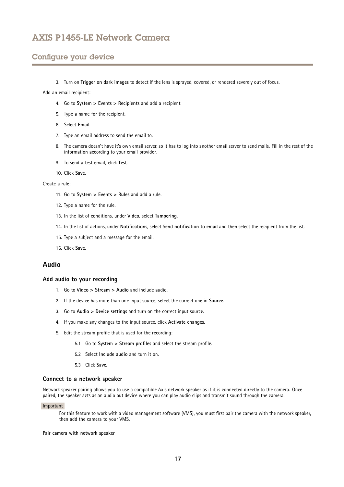## <span id="page-16-0"></span>Configure your device

3. Turn on **Trigger on dark images** to detect if the lens is sprayed, covered, or rendered severely out of focus.

Add an email recipient:

- 4. Go to **System <sup>&</sup>gt; Events <sup>&</sup>gt; Recipients** and add <sup>a</sup> recipient.
- 5. Type <sup>a</sup> name for the recipient.
- 6. Select **Email**.
- 7. Type an email address to send the email to.
- 8. The camera doesn't have it's own email server, so it has to log into another email server to send mails. Fill in the rest of the information according to your email provider.
- 9. To send <sup>a</sup> test email, click **Test**.
- 10. Click **Save**.

#### Create <sup>a</sup> rule:

- 11. Go to **System <sup>&</sup>gt; Events <sup>&</sup>gt; Rules** and add <sup>a</sup> rule.
- 12. Type <sup>a</sup> name for the rule.
- 13. In the list of conditions, under **Video**, select **Tampering**.
- 14. In the list of actions, under **Notifications**, select **Send notification to email** and then select the recipient from the list.
- 15. Type <sup>a</sup> subject and <sup>a</sup> message for the email.
- 16. Click **Save**.

## **Audio**

### **Add audio to your recording**

- 1. Go to **Video <sup>&</sup>gt; Stream <sup>&</sup>gt; Audio** and include audio.
- 2. If the device has more than one input source, select the correct one in **Source**.
- 3. Go to **Audio <sup>&</sup>gt; Device settings** and turn on the correct input source.
- 4. If you make any changes to the input source, click **Activate changes**.
- 5. Edit the stream profile that is used for the recording:
	- 5.1 Go to **System <sup>&</sup>gt; Stream profiles** and select the stream profile.
	- 5.2 Select **Include audio** and turn it on.
	- 5.3 Click **Save**.

### **Connect to <sup>a</sup> network speaker**

Network speaker pairing allows you to use <sup>a</sup> compatible Axis network speaker as if it is connected directly to the camera. Once paired, the speaker acts as an audio out device where you can play audio clips and transmit sound through the camera.

#### Important

For this feature to work with <sup>a</sup> video management software (VMS), you must first pair the camera with the network speaker, then add the camera to your VMS.

#### **Pair camera with network speaker**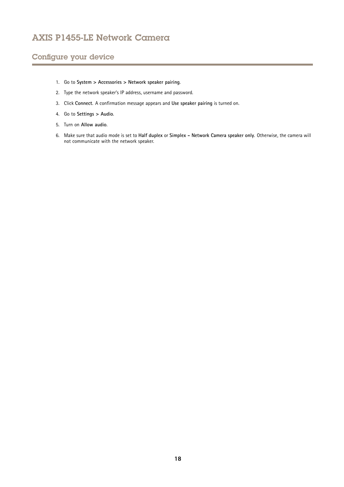# Configure your device

- 1. Go to **System <sup>&</sup>gt; Accessories <sup>&</sup>gt; Network speaker pairing**.
- 2. Type the network speaker's IP address, username and password.
- 3. Click **Connect**. A confirmation message appears and **Use speaker pairing** is turned on.
- 4. Go to **Settings <sup>&</sup>gt; Audio**.
- 5. Turn on **Allow audio**.
- 6. Make sure that audio mode is set to **Half duplex** or **Simplex - Network Camera speaker only**. Otherwise, the camera will not communicate with the network speaker.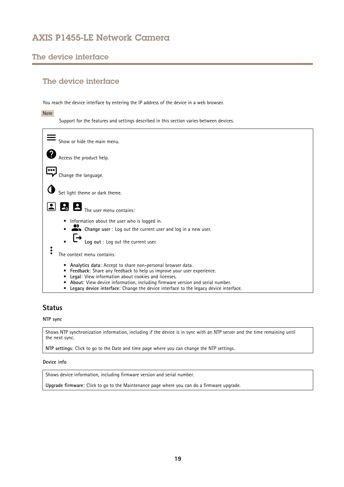# <span id="page-18-0"></span>The device interface

# The device interface

You reach the device interface by entering the IP address of the device in <sup>a</sup> web browser.

Note

Support for the features and settings described in this section varies between devices.



# **Status**

## **NTP sync**

Shows NTP synchronization information, including if the device is in sync with an NTP server and the time remaining until the next sync.

**NTP settings**: Click to go to the Date and time page where you can change the NTP settings.

### **Device info**

Shows device information, including firmware version and serial number.

**Upgrade firmware**: Click to go to the Maintenance page where you can do <sup>a</sup> firmware upgrade.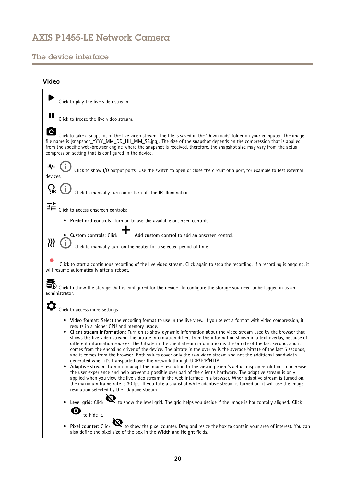# <span id="page-19-0"></span>The device interface

# **Video**

| Click to play the live video stream.                                                                                                                                                                                                                                                                                                                                                                                                                                                                                                                                                                                                                                                                                                                                                                                                                                                                                                                                                                                                                                                                                                                                                                                                                                                                                                                                                                                                                                                                                               |
|------------------------------------------------------------------------------------------------------------------------------------------------------------------------------------------------------------------------------------------------------------------------------------------------------------------------------------------------------------------------------------------------------------------------------------------------------------------------------------------------------------------------------------------------------------------------------------------------------------------------------------------------------------------------------------------------------------------------------------------------------------------------------------------------------------------------------------------------------------------------------------------------------------------------------------------------------------------------------------------------------------------------------------------------------------------------------------------------------------------------------------------------------------------------------------------------------------------------------------------------------------------------------------------------------------------------------------------------------------------------------------------------------------------------------------------------------------------------------------------------------------------------------------|
| Click to freeze the live video stream.                                                                                                                                                                                                                                                                                                                                                                                                                                                                                                                                                                                                                                                                                                                                                                                                                                                                                                                                                                                                                                                                                                                                                                                                                                                                                                                                                                                                                                                                                             |
| Click to take a snapshot of the live video stream. The file is saved in the 'Downloads' folder on your computer. The image<br>file name is [snapshot_YYYY_MM_DD_HH_MM_SS.jpg]. The size of the snapshot depends on the compression that is applied<br>from the specific web-browser engine where the snapshot is received, therefore, the snapshot size may vary from the actual<br>compression setting that is configured in the device.                                                                                                                                                                                                                                                                                                                                                                                                                                                                                                                                                                                                                                                                                                                                                                                                                                                                                                                                                                                                                                                                                          |
| Click to show I/O output ports. Use the switch to open or close the circuit of a port, for example to test external<br>devices.                                                                                                                                                                                                                                                                                                                                                                                                                                                                                                                                                                                                                                                                                                                                                                                                                                                                                                                                                                                                                                                                                                                                                                                                                                                                                                                                                                                                    |
| Click to manually turn on or turn off the IR illumination.                                                                                                                                                                                                                                                                                                                                                                                                                                                                                                                                                                                                                                                                                                                                                                                                                                                                                                                                                                                                                                                                                                                                                                                                                                                                                                                                                                                                                                                                         |
| 法<br>Click to access onscreen controls:                                                                                                                                                                                                                                                                                                                                                                                                                                                                                                                                                                                                                                                                                                                                                                                                                                                                                                                                                                                                                                                                                                                                                                                                                                                                                                                                                                                                                                                                                            |
| Predefined controls: Turn on to use the available onscreen controls.<br>$\bullet$                                                                                                                                                                                                                                                                                                                                                                                                                                                                                                                                                                                                                                                                                                                                                                                                                                                                                                                                                                                                                                                                                                                                                                                                                                                                                                                                                                                                                                                  |
| Add custom control to add an onscreen control.<br>· Custom controls: Click                                                                                                                                                                                                                                                                                                                                                                                                                                                                                                                                                                                                                                                                                                                                                                                                                                                                                                                                                                                                                                                                                                                                                                                                                                                                                                                                                                                                                                                         |
| 111<br>Click to manually turn on the heater for a selected period of time.                                                                                                                                                                                                                                                                                                                                                                                                                                                                                                                                                                                                                                                                                                                                                                                                                                                                                                                                                                                                                                                                                                                                                                                                                                                                                                                                                                                                                                                         |
| Click to start a continuous recording of the live video stream. Click again to stop the recording. If a recording is ongoing, it<br>will resume automatically after a reboot.                                                                                                                                                                                                                                                                                                                                                                                                                                                                                                                                                                                                                                                                                                                                                                                                                                                                                                                                                                                                                                                                                                                                                                                                                                                                                                                                                      |
| $\blacktriangleright$ Click to show the storage that is configured for the device. To configure the storage you need to be logged in as an<br>administrator.                                                                                                                                                                                                                                                                                                                                                                                                                                                                                                                                                                                                                                                                                                                                                                                                                                                                                                                                                                                                                                                                                                                                                                                                                                                                                                                                                                       |
| Click to access more settings:                                                                                                                                                                                                                                                                                                                                                                                                                                                                                                                                                                                                                                                                                                                                                                                                                                                                                                                                                                                                                                                                                                                                                                                                                                                                                                                                                                                                                                                                                                     |
| • Video format: Select the encoding format to use in the live view. If you select a format with video compression, it<br>results in a higher CPU and memory usage.<br>• Client stream information: Turn on to show dynamic information about the video stream used by the browser that<br>shows the live video stream. The bitrate information differs from the information shown in a text overlay, because of<br>different information sources. The bitrate in the client stream information is the bitrate of the last second, and it<br>comes from the encoding driver of the device. The bitrate in the overlay is the average bitrate of the last 5 seconds,<br>and it comes from the browser. Both values cover only the raw video stream and not the additional bandwidth<br>generated when it's transported over the network through UDP/TCP/HTTP.<br>• Adaptive stream: Turn on to adapt the image resolution to the viewing client's actual display resolution, to increase<br>the user experience and help prevent a possible overload of the client's hardware. The adaptive stream is only<br>applied when you view the live video stream in the web interface in a browser. When adaptive stream is turned on,<br>the maximum frame rate is 30 fps. If you take a snapshot while adaptive stream is turned on, it will use the image<br>resolution selected by the adaptive stream.<br>Level grid: Click $\mathbf{Q}$ to show the level grid. The grid helps you decide if the image is horizontally aligned. Click |
| $\bullet$<br>to hide it.                                                                                                                                                                                                                                                                                                                                                                                                                                                                                                                                                                                                                                                                                                                                                                                                                                                                                                                                                                                                                                                                                                                                                                                                                                                                                                                                                                                                                                                                                                           |
| Pixel counter: Click $\ddot{\mathbf{C}}$ to show the pixel counter. Drag and resize the box to contain your area of interest. You can<br>also define the pixel size of the box in the Width and Height fields.                                                                                                                                                                                                                                                                                                                                                                                                                                                                                                                                                                                                                                                                                                                                                                                                                                                                                                                                                                                                                                                                                                                                                                                                                                                                                                                     |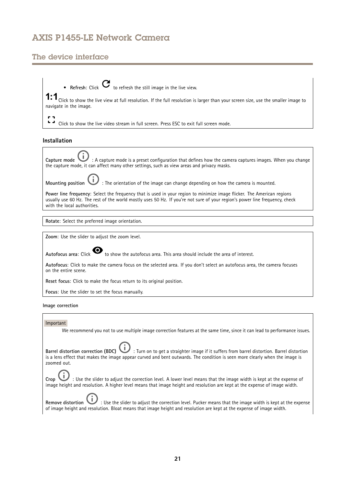# The device interface

• **Refresh**: Click  $\bullet$  to refresh the still image in the live view.  ${\small 1:1}\normalsize$  Click to show the live view at full resolution. If the full resolution is larger than your screen size, use the smaller image to navigate in the image.

 $\Delta$ Click to show the live video stream in full screen. Press ESC to exit full screen mode.

## **Installation**

**Capture mode** : A capture mode is <sup>a</sup> preset configuration that defines how the camera captures images. When you change the capture mode, it can affect many other settings, such as view areas and privacy masks.

**Mounting position** : The orientation of the image can change depending on how the camera is mounted.

**Power line frequency**: Select the frequency that is used in your region to minimize image flicker. The American regions usually use 60 Hz. The rest of the world mostly uses 50 Hz. If you're not sure of your region's power line frequency, check with the local authorities.

**Rotate**: Select the preferred image orientation.

**Zoom**: Use the slider to adjust the zoom level.

Autofocus area: Click  $\bullet$  to show the autofocus area. This area should include the area of interest.

**Autofocus**: Click to make the camera focus on the selected area. If you don't select an autofocus area, the camera focuses on the entire scene.

**Reset focus**: Click to make the focus return to its original position.

**Focus**: Use the slider to set the focus manually.

**Image correction**

### Important

We recommend you not to use multiple image correction features at the same time, since it can lead to performance issues.

**Barrel distortion correction (BDC)** : Turn on to get <sup>a</sup> straighter image if it suffers from barrel distortion. Barrel distortion is <sup>a</sup> lens effect that makes the image appear curved and bent outwards. The condition is seen more clearly when the image is zoomed out.

**Crop** : Use the slider to adjust the correction level. A lower level means that the image width is kept at the expense of image height and resolution. A higher level means that image height and resolution are kept at the expense of image width.

**Remove distortion** : Use the slider to adjust the correction level. Pucker means that the image width is kept at the expense of image height and resolution. Bloat means that image height and resolution are kept at the expense of image width.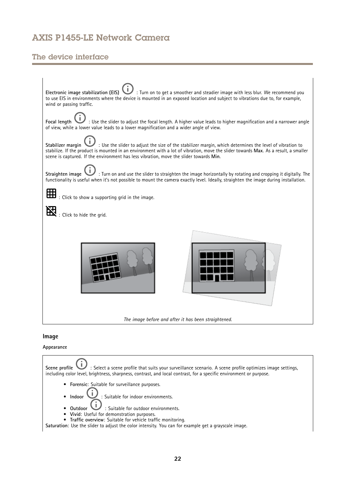# The device interface

| : Turn on to get a smoother and steadier image with less blur. We recommend you<br>Electronic image stabilization (EIS)<br>to use EIS in environments where the device is mounted in an exposed location and subject to vibrations due to, for example,<br>wind or passing traffic.                                                                                       |
|---------------------------------------------------------------------------------------------------------------------------------------------------------------------------------------------------------------------------------------------------------------------------------------------------------------------------------------------------------------------------|
| $\prime\,$ : Use the slider to adjust the focal length. A higher value leads to higher magnification and a narrower angle<br>Focal length<br>of view, while a lower value leads to a lower magnification and a wider angle of view.                                                                                                                                       |
| $\prime\,$ : Use the slider to adjust the size of the stabilizer margin, which determines the level of vibration to<br>Stabilizer margin<br>stabilize. If the product is mounted in an environment with a lot of vibration, move the slider towards Max. As a result, a smaller<br>scene is captured. If the environment has less vibration, move the slider towards Min. |
| $^\prime\,$ : Turn on and use the slider to straighten the image horizontally by rotating and cropping it digitally. The<br>Straighten image<br>functionality is useful when it's not possible to mount the camera exactly level. Ideally, straighten the image during installation.                                                                                      |
| : Click to show a supporting grid in the image.                                                                                                                                                                                                                                                                                                                           |
| : Click to hide the grid.                                                                                                                                                                                                                                                                                                                                                 |
|                                                                                                                                                                                                                                                                                                                                                                           |
| The image before and after it has been straightened.                                                                                                                                                                                                                                                                                                                      |
|                                                                                                                                                                                                                                                                                                                                                                           |

## **Image**

## **Appearance**

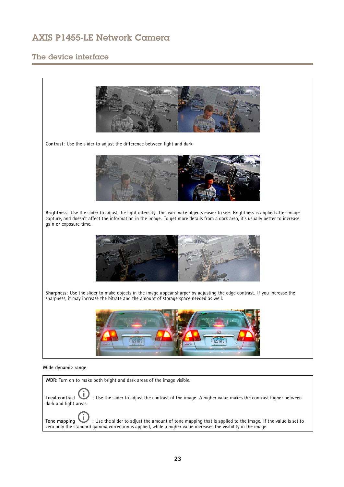# The device interface



**Tone mapping**  $\cup$  : Use the slider to adjust the amount of tone mapping that is applied to the image. If the value is set to zero only the standard gamma correction is applied, while <sup>a</sup> higher value increases the visibility in the image.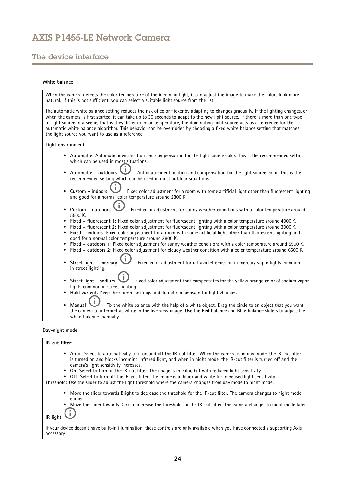# The device interface

## **White balance**

When the camera detects the color temperature of the incoming light, it can adjust the image to make the colors look more natural. If this is not sufficient, you can select <sup>a</sup> suitable light source from the list.

The automatic white balance setting reduces the risk of color flicker by adapting to changes gradually. If the lighting changes, or when the camera is first started, it can take up to 30 seconds to adapt to the new light source. If there is more than one type of light source in <sup>a</sup> scene, that is they differ in color temperature, the dominating light source acts as <sup>a</sup> reference for the automatic white balance algorithm. This behavior can be overridden by choosing <sup>a</sup> fixed white balance setting that matches the light source you want to use as <sup>a</sup> reference.

**Light environment**:

- **Automatic**: Automatic identification and compensation for the light source color. This is the recommended setting which can be used in most situations.
- I. **Automatic – outdoors** : Automatic identification and compensation for the light source color. This is the •recommended setting which can be used in most outdoor situations.
- •**Custom** – indoors  $\cup$ : Fixed color adjustment for a room with some artificial light other than fluorescent lighting and good for <sup>a</sup> normal color temperature around 2800 K.
- • **Custom – outdoors** : Fixed color adjustment for sunny weather conditions with <sup>a</sup> color temperature around 5500 K.
- •**Fixed – fluorescent <sup>1</sup>**: Fixed color adjustment for fluorescent lighting with <sup>a</sup> color temperature around 4000 K.
- •**Fixed – fluorescent 2**: Fixed color adjustment for fluorescent lighting with <sup>a</sup> color temperature around 3000 K.
- • **Fixed – indoors**: Fixed color adjustment for <sup>a</sup> room with some artificial light other than fluorescent lighting and good for <sup>a</sup> normal color temperature around 2800 K.
- •**Fixed – outdoors <sup>1</sup>**: Fixed color adjustment for sunny weather conditions with <sup>a</sup> color temperature around 5500 K.
- •**Fixed – outdoors 2**: Fixed color adjustment for cloudy weather condition with <sup>a</sup> color temperature around 6500 K.
- • **Street light – mercury** : Fixed color adjustment for ultraviolet emission in mercury vapor lights common in street lighting.
- •**Street light – sodium**  $\cup$  : Fixed color adjustment that compensates for the yellow orange color of sodium vapor lights common in street lighting.
- •**Hold current**: Keep the current settings and do not compensate for light changes.
- •**Manual** : Fix the white balance with the help of a white object. Drag the circle to an object that you want the camera to interpret as white in the live view image. Use the **Red balance** and **Blue balance** sliders to adjust the white balance manually.

### **Day-night mode**

#### **IR-cut filter**:

- **Auto**: Select to automatically turn on and off the IR-cut filter. When the camera is in day mode, the IR-cut filter is turned on and blocks incoming infrared light, and when in night mode, the IR-cut filter is turned off and the camera's light sensitivity increases.
- •**On**: Select to turn on the IR-cut filter. The image is in color, but with reduced light sensitivity.
- **Off**: Select to turn off the IR-cut filter. The image is in black and white for increased light sensitivity.

**Threshold**: Use the slider to adjust the light threshold where the camera changes from day mode to night mode.

- • Move the slider towards **Bright** to decrease the threshold for the IR-cut filter. The camera changes to night mode earlier.
- Move the slider towards **Dark** to increase the threshold for the IR-cut filter. The camera changes to night mode later. •î,

**IR light**

If your device doesn't have built-in illumination, these controls are only available when you have connected <sup>a</sup> supporting Axis accessory.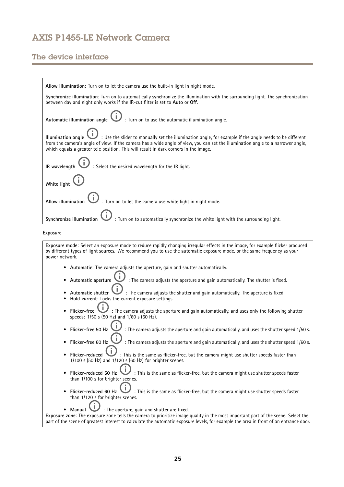# The device interface

| Allow illumination: Turn on to let the camera use the built-in light in night mode.                                                                                                                                                                                                                                                                       |
|-----------------------------------------------------------------------------------------------------------------------------------------------------------------------------------------------------------------------------------------------------------------------------------------------------------------------------------------------------------|
| Synchronize illumination: Turn on to automatically synchronize the illumination with the surrounding light. The synchronization<br>between day and night only works if the IR-cut filter is set to Auto or Off.                                                                                                                                           |
| $\prime$ : Turn on to use the automatic illumination angle.<br>Automatic illumination angle                                                                                                                                                                                                                                                               |
| Use the slider to manually set the illumination angle, for example if the angle needs to be different :<br>Illumination angle<br>from the camera's angle of view. If the camera has a wide angle of view, you can set the illumination angle to a narrower angle,<br>which equals a greater tele position. This will result in dark corners in the image. |
| : Select the desired wavelength for the IR light.<br>IR wavelength                                                                                                                                                                                                                                                                                        |
| White light                                                                                                                                                                                                                                                                                                                                               |
| : Turn on to let the camera use white light in night mode.<br>Allow illumination                                                                                                                                                                                                                                                                          |
| : Turn on to automatically synchronize the white light with the surrounding light.<br>Synchronize illumination                                                                                                                                                                                                                                            |
| Exposure                                                                                                                                                                                                                                                                                                                                                  |
| Exposure mode: Select an exposure mode to reduce rapidly changing irregular effects in the image, for example flicker produced<br>by different types of light sources. We recommend you to use the automatic exposure mode, or the same frequency as your<br>power network.                                                                               |
| • Automatic: The camera adjusts the aperture, gain and shutter automatically.                                                                                                                                                                                                                                                                             |
| : The camera adjusts the aperture and gain automatically. The shutter is fixed.<br>Automatic aperture                                                                                                                                                                                                                                                     |
| $\mathbf{U}$ : The camera adjusts the shutter and gain automatically. The aperture is fixed.<br>Automatic shutter<br>Hold current: Locks the current exposure settings.                                                                                                                                                                                   |
| $'$ : The camera adjusts the aperture and gain automatically, and uses only the following shutter<br>Flicker-free<br>speeds: 1/50 s (50 Hz) and 1/60 s (60 Hz).                                                                                                                                                                                           |
| : The camera adjusts the aperture and gain automatically, and uses the shutter speed 1/50 s.<br>Flicker-free 50 Hz                                                                                                                                                                                                                                        |
| Flicker-free 60 Hz<br>: The camera adjusts the aperture and gain automatically, and uses the shutter speed 1/60 s.                                                                                                                                                                                                                                        |
| $\mathbf{U}$ : This is the same as flicker-free, but the camera might use shutter speeds faster than<br>Flicker-reduced<br>$1/100$ s (50 Hz) and $1/120$ s (60 Hz) for brighter scenes.                                                                                                                                                                   |

- • **Flicker-reduced 50 Hz** : This is the same as flicker-free, but the camera might use shutter speeds faster than 1/100 <sup>s</sup> for brighter scenes.
- •**Fig.**  $\bullet$  : This is the same as flicker-free, but the camera might use shutter speeds faster Flicker-reduced 60 Hz  $\bigcup$ :<br>than 1/120 s for brighter scenes.
- **Manual** : The aperture, gain and shutter are fixed.

**Exposure zone**: The exposure zone tells the camera to prioritize image quality in the most important part of the scene. Select the part of the scene of greatest interest to calculate the automatic exposure levels, for example the area in front of an entrance door.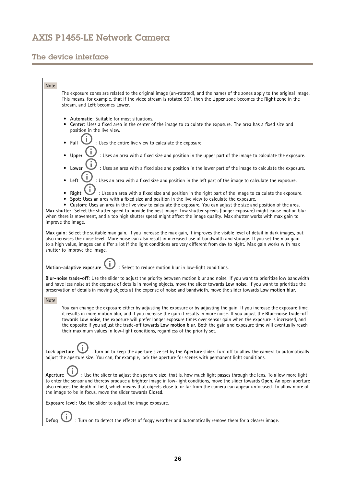# The device interface

## Note

The exposure zones are related to the original image (un-rotated), and the names of the zones apply to the original image. This means, for example, that if the video stream is rotated 90°, then the **Upper** zone becomes the **Right** zone in the stream, and **Left** becomes **Lower**.

- •**Automatic**: Suitable for most situations.
- • **Center**: Uses <sup>a</sup> fixed area in the center of the image to calculate the exposure. The area has <sup>a</sup> fixed size and position in the live view.
- •Full **U** : Uses the entire live view to calculate the exposure.
- Upper **UP** : Uses an area with a fixed size and position in the upper part of the image to calculate the exposure. •Î
- Lower **UP** : Uses an area with a fixed size and position in the lower part of the image to calculate the exposure. •î
- •Left  $\bullet$ : Uses an area with a fixed size and position in the left part of the image to calculate the exposure.
- •Right  $\bigcup$ : Uses an area with a fixed size and position in the right part of the image to calculate the exposure.
- •**Spot**: Uses an area with <sup>a</sup> fixed size and position in the live view to calculate the exposure.

• **Custom**: Uses an area in the live view to calculate the exposure. You can adjust the size and position of the area. **Max shutter**: Select the shutter speed to provide the best image. Low shutter speeds (longer exposure) might cause motion blur when there is movement, and <sup>a</sup> too high shutter speed might affect the image quality. Max shutter works with max gain to improve the image.

**Max gain**: Select the suitable max gain. If you increase the max gain, it improves the visible level of detail in dark images, but also increases the noise level. More noise can also result in increased use of bandwidth and storage. If you set the max gain to <sup>a</sup> high value, images can differ <sup>a</sup> lot if the light conditions are very different from day to night. Max gain works with max shutter to improve the image.

**Motion-adaptive exposure**  $\bullet$ **:** Select to reduce motion blur in low-light conditions.

**Blur-noise trade-off**: Use the slider to adjust the priority between motion blur and noise. If you want to prioritize low bandwidth and have less noise at the expense of details in moving objects, move the slider towards **Low noise**. If you want to prioritize the preservation of details in moving objects at the expense of noise and bandwidth, move the slider towards **Low motion blur**.

### Note

You can change the exposure either by adjusting the exposure or by adjusting the gain. If you increase the exposure time, it results in more motion blur, and if you increase the gain it results in more noise. If you adjust the **Blur-noise trade-off** towards **Low noise**, the exposure will prefer longer exposure times over sensor gain when the exposure is increased, and the opposite if you adjust the trade-off towards **Low motion blur**. Both the gain and exposure time will eventually reach their maximum values in low-light conditions, regardless of the priority set.

**Lock aperture** : Turn on to keep the aperture size set by the **Aperture** slider. Turn off to allow the camera to automatically adjust the aperture size. You can, for example, lock the aperture for scenes with permanent light conditions.

Aperture **U**: Use the slider to adjust the aperture size, that is, how much light passes through the lens. To allow more light to enter the sensor and thereby produce <sup>a</sup> brighter image in low-light conditions, move the slider towards **Open**. An open aperture also reduces the depth of field, which means that objects close to or far from the camera can appear unfocused. To allow more of the image to be in focus, move the slider towards **Closed**.

**Exposure level**: Use the slider to adjust the image exposure.

**Defog** : Turn on to detect the effects of foggy weather and automatically remove them for <sup>a</sup> clearer image.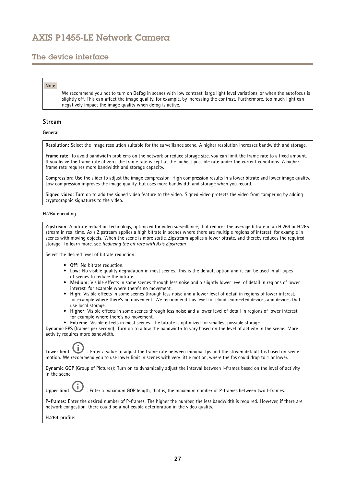# The device interface

## Note

We recommend you not to turn on **Defog** in scenes with low contrast, large light level variations, or when the autofocus is slightly off. This can affect the image quality, for example, by increasing the contrast. Furthermore, too much light can negatively impact the image quality when defog is active.

## **Stream**

**General**

**Resolution**: Select the image resolution suitable for the surveillance scene. A higher resolution increases bandwidth and storage.

**Frame rate**: To avoid bandwidth problems on the network or reduce storage size, you can limit the frame rate to <sup>a</sup> fixed amount. If you leave the frame rate at zero, the frame rate is kept at the highest possible rate under the current conditions. A higher frame rate requires more bandwidth and storage capacity.

**Compression**: Use the slider to adjust the image compression. High compression results in <sup>a</sup> lower bitrate and lower image quality. Low compression improves the image quality, but uses more bandwidth and storage when you record.

**Signed video**: Turn on to add the signed video feature to the video. Signed video protects the video from tampering by adding cryptographic signatures to the video.

### **H.26x encoding**

**Zipstream**: A bitrate reduction technology, optimized for video surveillance, that reduces the average bitrate in an H.264 or H.265 stream in real time. Axis Zipstream applies <sup>a</sup> high bitrate in scenes where there are multiple regions of interest, for example in scenes with moving objects. When the scene is more static, Zipstream applies <sup>a</sup> lower bitrate, and thereby reduces the required storage. To learn more, see *Reducing the bit rate with Axis [Zipstream](https://www.axis.com/learning/web-articles/reducing-the-bit-rate-with-axis-zipstream)*

Select the desired level of bitrate reduction:

- **Off**: No bitrate reduction.
- **Low**: No visible quality degradation in most scenes. This is the default option and it can be used in all types of scenes to reduce the bitrate.
- • **Medium**: Visible effects in some scenes through less noise and <sup>a</sup> slightly lower level of detail in regions of lower interest, for example where there's no movement.
- **High**: Visible effects in some scenes through less noise and <sup>a</sup> lower level of detail in regions of lower interest, for example where there's no movement. We recommend this level for cloud-connected devices and devices that use local storage.
- • **Higher**: Visible effects in some scenes through less noise and <sup>a</sup> lower level of detail in regions of lower interest, for example where there's no movement.
- **Extreme**: Visible effects in most scenes. The bitrate is optimized for smallest possible storage.

**Dynamic FPS** (frames per second): Turn on to allow the bandwidth to vary based on the level of activity in the scene. More activity requires more bandwidth.

Lower limit **the state is a value to adjust the frame rate between minimal fps and the stream default fps based on scene** motion. We recommend you to use lower limit in scenes with very little motion, where the fps could drop to <sup>1</sup> or lower.

**Dynamic GOP** (Group of Pictures): Turn on to dynamically adjust the interval between I-frames based on the level of activity in the scene.

Upper limit **UP**: Enter a maximum GOP length, that is, the maximum number of P-frames between two I-frames.

**P-frames**: Enter the desired number of P-frames. The higher the number, the less bandwidth is required. However, if there are network congestion, there could be <sup>a</sup> noticeable deterioration in the video quality.

**H.264 profile**: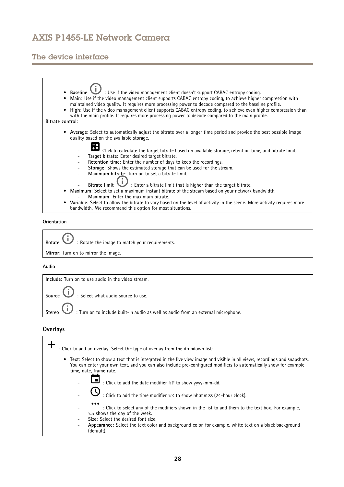# The device interface



**Orientation**

Rotate **W** : Rotate the image to match your requirements. **Mirror**: Turn on to mirror the image.

### **Audio**



## **Overlays**

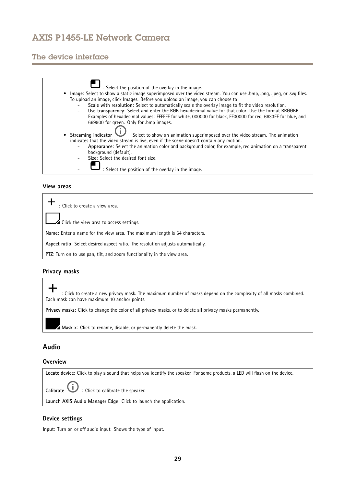# <span id="page-28-0"></span>The device interface



## **View areas**

: Click to create <sup>a</sup> view area.

Click the view area to access settings.

**Name**: Enter <sup>a</sup> name for the view area. The maximum length is 64 characters.

**Aspect ratio**: Select desired aspect ratio. The resolution adjusts automatically.

**PTZ**: Turn on to use pan, tilt, and zoom functionality in the view area.

## **Privacy masks**

: Click to create <sup>a</sup> new privacy mask. The maximum number of masks depend on the complexity of all masks combined. Each mask can have maximum 10 anchor points.

**Privacy masks**: Click to change the color of all privacy masks, or to delete all privacy masks permanently.

**Mask <sup>x</sup>**: Click to rename, disable, or permanently delete the mask.

## **Audio**

## **Overview**

**Locate device**: Click to play <sup>a</sup> sound that helps you identify the speaker. For some products, <sup>a</sup> LED will flash on the device.

**Calibrate U** : Click to calibrate the speaker.

**Launch AXIS Audio Manager Edge**: Click to launch the application.

## **Device settings**

**Input**: Turn on or off audio input. Shows the type of input.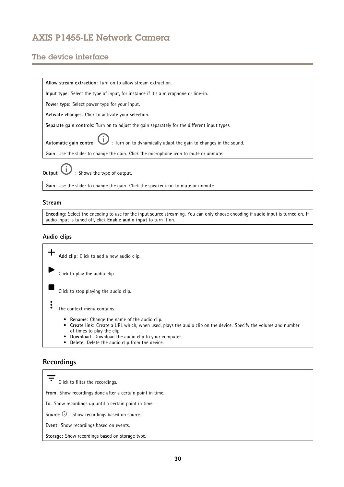# <span id="page-29-0"></span>The device interface



**Gain**: Use the slider to change the gain. Click the speaker icon to mute or unmute.

## **Stream**

**Encoding**: Select the encoding to use for the input source streaming. You can only choose encoding if audio input is turned on. If audio input is tuned off, click **Enable audio input** to turn it on.

## **Audio clips**

**Add clip**: Click to add <sup>a</sup> new audio clip. Click to play the audio clip. Click to stop playing the audio clip.  $\ddot{\cdot}$ The context menu contains: • **Rename**: Change the name of the audio clip.

- **Create link**: Create <sup>a</sup> URL which, when used, plays the audio clip on the device. Specify the volume and number of times to play the clip.
- •**Download**: Download the audio clip to your computer.
- **Delete**: Delete the audio clip from the device.

# **Recordings**

Click to filter the recordings. **From**: Show recordings done after <sup>a</sup> certain point in time. **To**: Show recordings up until <sup>a</sup> certain point in time. **Source**  $\odot$  : Show recordings based on source. **Event**: Show recordings based on events. **Storage**: Show recordings based on storage type.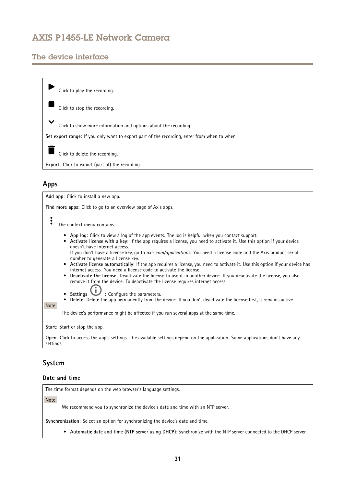# <span id="page-30-0"></span>The device interface



## **Apps**

**Add app**: Click to install <sup>a</sup> new app. **Find more apps**: Click to go to an overview page of Axis apps. The context menu contains: • **App log**: Click to view <sup>a</sup> log of the app events. The log is helpful when you contact support. • **Activate license with <sup>a</sup> key**: If the app requires <sup>a</sup> license, you need to activate it. Use this option if your device doesn't have internet access. If you don't have <sup>a</sup> license key, go to *[axis.com/applications](https://www.axis.com/applications)*. You need <sup>a</sup> license code and the Axis product serial number to generate <sup>a</sup> license key. • **Activate license automatically**: If the app requires <sup>a</sup> license, you need to activate it. Use this option if your device has internet access. You need a license code to activate the license. • **Deactivate the license**: Deactivate the license to use it in another device. If you deactivate the license, you also remove it from the device. To deactivate the license requires internet access. •**Settings**  $\bigcup$  : Configure the parameters. • **Delete**: Delete the app permanently from the device. If you don't deactivate the license first, it remains active. Note The device's performance might be affected if you run several apps at the same time. **Start**: Start or stop the app. **Open**: Click to access the app's settings. The available settings depend on the application. Some applications don't have any settings.

# **System**

## **Date and time**

The time format depends on the web browser's language settings.

**Note** 

We recommend you to synchronize the device's date and time with an NTP server.

**Synchronization**: Select an option for synchronizing the device's date and time.

• **Automatic date and time (NTP server using DHCP)**: Synchronize with the NTP server connected to the DHCP server.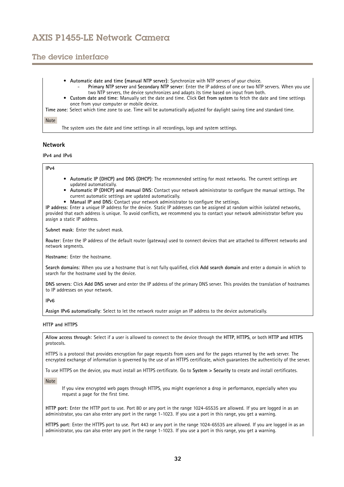# The device interface

- **Automatic date and time (manual NTP server)**: Synchronize with NTP servers of your choice. **Primary NTP server** and **Secondary NTP server**: Enter the IP address of one or two NTP servers. When you use
	- two NTP servers, the device synchronizes and adapts its time based on input from both.
- • **Custom date and time**: Manually set the date and time. Click **Get from system** to fetch the date and time settings once from your computer or mobile device.
- **Time zone**: Select which time zone to use. Time will be automatically adjusted for daylight saving time and standard time.

### Note

The system uses the date and time settings in all recordings, logs and system settings.

## **Network**

**IPv4 and IPv6**

### **IPv4**

- **Automatic IP (DHCP) and DNS (DHCP)**: The recommended setting for most networks. The current settings are updated automatically.
- • **Automatic IP (DHCP) and manual DNS**: Contact your network administrator to configure the manual settings. The current automatic settings are updated automatically.
- **Manual IP and DNS**: Contact your network administrator to configure the settings.

**IP address**: Enter <sup>a</sup> unique IP address for the device. Static IP addresses can be assigned at random within isolated networks, provided that each address is unique. To avoid conflicts, we recommend you to contact your network administrator before you assign <sup>a</sup> static IP address.

**Subnet mask**: Enter the subnet mask.

**Router**: Enter the IP address of the default router (gateway) used to connect devices that are attached to different networks and network segments.

**Hostname**: Enter the hostname.

**Search domains**: When you use <sup>a</sup> hostname that is not fully qualified, click **Add search domain** and enter <sup>a</sup> domain in which to search for the hostname used by the device.

**DNS servers**: Click **Add DNS server** and enter the IP address of the primary DNS server. This provides the translation of hostnames to IP addresses on your network.

**IPv6**

**Assign IPv6 automatically**: Select to let the network router assign an IP address to the device automatically.

### **HTTP and HTTPS**

**Allow access through**: Select if <sup>a</sup> user is allowed to connect to the device through the **HTTP**, **HTTPS**, or both **HTTP and HTTPS** protocols.

HTTPS is <sup>a</sup> protocol that provides encryption for page requests from users and for the pages returned by the web server. The encrypted exchange of information is governed by the use of an HTTPS certificate, which guarantees the authenticity of the server.

To use HTTPS on the device, you must install an HTTPS certificate. Go to **System <sup>&</sup>gt; Security** to create and install certificates.

#### Note

If you view encrypted web pages through HTTPS, you might experience <sup>a</sup> drop in performance, especially when you request <sup>a</sup> page for the first time.

**HTTP port**: Enter the HTTP port to use. Port 80 or any port in the range 1024-65535 are allowed. If you are logged in as an administrator, you can also enter any port in the range 1-1023. If you use <sup>a</sup> port in this range, you get <sup>a</sup> warning.

**HTTPS port**: Enter the HTTPS port to use. Port 443 or any port in the range 1024-65535 are allowed. If you are logged in as an administrator, you can also enter any port in the range 1-1023. If you use <sup>a</sup> port in this range, you get <sup>a</sup> warning.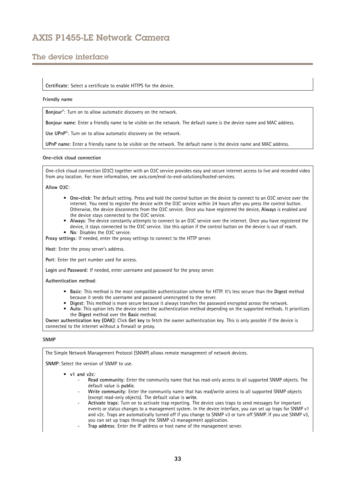# The device interface

### **Certificate**: Select <sup>a</sup> certificate to enable HTTPS for the device.

#### **Friendly name**

**Bonjour**® : Turn on to allow automatic discovery on the network.

**Bonjour name**: Enter <sup>a</sup> friendly name to be visible on the network. The default name is the device name and MAC address.

**Use UPnP**® : Turn on to allow automatic discovery on the network.

**UPnP name**: Enter <sup>a</sup> friendly name to be visible on the network. The default name is the device name and MAC address.

#### **One-click cloud connection**

One-click cloud connection (O3C) together with an O3C service provides easy and secure internet access to live and recorded video from any location. For more information, see *[axis.com/end-to-end-solutions/hosted-services](https://www.axis.com/end-to-end-solutions/hosted-services)*.

## **Allow O3C**:

- **One-click**: The default setting. Press and hold the control button on the device to connect to an O3C service over the internet. You need to register the device with the O3C service within 24 hours after you press the control button. Otherwise, the device disconnects from the O3C service. Once you have registered the device, **Always** is enabled and the device stays connected to the O3C service.
- **Always**: The device constantly attempts to connect to an O3C service over the internet. Once you have registered the device, it stays connected to the O3C service. Use this option if the control button on the device is out of reach.
- **No**: Disables the O3C service.

**Proxy settings**: If needed, enter the proxy settings to connect to the HTTP server.

**Host**: Enter the proxy server's address.

**Port**: Enter the port number used for access.

**Login** and **Password**: If needed, enter username and password for the proxy server.

#### **Authentication method**:

- **Basic**: This method is the most compatible authentication scheme for HTTP. It's less secure than the **Digest** method because it sends the username and password unencrypted to the server.
- **Digest**: This method is more secure because it always transfers the password encrypted across the network.
- • **Auto**: This option lets the device select the authentication method depending on the supported methods. It prioritizes the **Digest** method over the **Basic** method.

**Owner authentication key (OAK)**: Click **Get key** to fetch the owner authentication key. This is only possible if the device is connected to the internet without <sup>a</sup> firewall or proxy.

### **SNMP**

The Simple Network Management Protocol (SNMP) allows remote management of network devices.

**SNMP**: Select the version of SNMP to use.

- **v1 and v2c**:
	- **Read community**: Enter the community name that has read-only access to all supported SNMP objects. The default value is **public**.
	- **Write community**: Enter the community name that has read/write access to all supported SNMP objects (except read-only objects). The default value is **write**.
	- **Activate traps**: Turn on to activate trap reporting. The device uses traps to send messages for important events or status changes to <sup>a</sup> management system. In the device interface, you can set up traps for SNMP v1 and v2c. Traps are automatically turned off if you change to SNMP v3 or turn off SNMP. If you use SNMP v3, you can set up traps through the SNMP v3 management application.
	- **Trap address**: Enter the IP address or host name of the management server.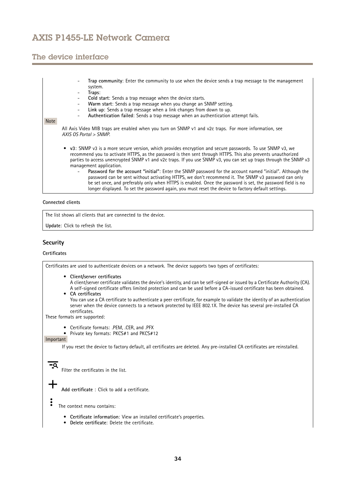# The device interface

- **Trap community**: Enter the community to use when the device sends <sup>a</sup> trap message to the management system.
- **Traps**:
- **Cold start**: Sends <sup>a</sup> trap message when the device starts.
- **Warm start**: Sends <sup>a</sup> trap message when you change an SNMP setting.
- **Link up**: Sends <sup>a</sup> trap message when <sup>a</sup> link changes from down to up.
- **Authentication failed**: Sends <sup>a</sup> trap message when an authentication attempt fails.

#### Note

All Axis Video MIB traps are enabled when you turn on SNMP v1 and v2c traps. For more information, see *AXIS OS Portal <sup>&</sup>gt; [SNMP](https://www.axis.com/products/online-manual/00000#t10163561)*.

- **v3**: SNMP v3 is <sup>a</sup> more secure version, which provides encryption and secure passwords. To use SNMP v3, we recommend you to activate HTTPS, as the password is then sent through HTTPS. This also prevents unauthorized parties to access unencrypted SNMP v1 and v2c traps. If you use SNMP v3, you can set up traps through the SNMP v3 management application.
	- **Password for the account "initial"**: Enter the SNMP password for the account named "initial". Although the password can be sent without activating HTTPS, we don't recommend it. The SNMP v3 password can only be set once, and preferably only when HTTPS is enabled. Once the password is set, the password field is no longer displayed. To set the password again, you must reset the device to factory default settings.

**Connected clients**

The list shows all clients that are connected to the device.

**Update**: Click to refresh the list.

## **Security**

### **Certificates**

Certificates are used to authenticate devices on <sup>a</sup> network. The device supports two types of certificates:

- **Client/server certificates**
	- A client/server certificate validates the device's identity, and can be self-signed or issued by <sup>a</sup> Certificate Authority (CA). A self-signed certificate offers limited protection and can be used before <sup>a</sup> CA-issued certificate has been obtained.
- • **CA certificates** You can use <sup>a</sup> CA certificate to authenticate <sup>a</sup> peer certificate, for example to validate the identity of an authentication server when the device connects to <sup>a</sup> network protected by IEEE 802.1X. The device has several pre-installed CA certificates.

These formats are supported:

- Certificate formats: .PEM, .CER, and .PFX
- •Private key formats: PKCS#1 and PKCS#12

## Important

If you reset the device to factory default, all certificates are deleted. Any pre-installed CA certificates are reinstalled.

 $\overline{\phantom{a}}$ 

Filter the certificates in the list.

**Add certificate** : Click to add <sup>a</sup> certificate.

- The context menu contains:
	- **Certificate information**: View an installed certificate's properties.
	- **Delete certificate**: Delete the certificate.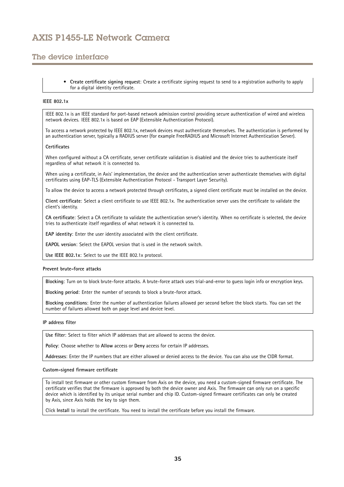# The device interface

• **Create certificate signing request**: Create <sup>a</sup> certificate signing request to send to <sup>a</sup> registration authority to apply for <sup>a</sup> digital identity certificate.

### **IEEE 802.1x**

IEEE 802.1x is an IEEE standard for port-based network admission control providing secure authentication of wired and wireless network devices. IEEE 802.1x is based on EAP (Extensible Authentication Protocol).

To access <sup>a</sup> network protected by IEEE 802.1x, network devices must authenticate themselves. The authentication is performed by an authentication server, typically <sup>a</sup> RADIUS server (for example FreeRADIUS and Microsoft Internet Authentication Server).

### **Certificates**

When configured without <sup>a</sup> CA certificate, server certificate validation is disabled and the device tries to authenticate itself regardless of what network it is connected to.

When using <sup>a</sup> certificate, in Axis' implementation, the device and the authentication server authenticate themselves with digital certificates using EAP-TLS (Extensible Authentication Protocol - Transport Layer Security).

To allow the device to access <sup>a</sup> network protected through certificates, <sup>a</sup> signed client certificate must be installed on the device.

**Client certificate**: Select <sup>a</sup> client certificate to use IEEE 802.1x. The authentication server uses the certificate to validate the client's identity.

**CA certificate**: Select <sup>a</sup> CA certificate to validate the authentication server's identity. When no certificate is selected, the device tries to authenticate itself regardless of what network it is connected to.

**EAP identity**: Enter the user identity associated with the client certificate.

**EAPOL version**: Select the EAPOL version that is used in the network switch.

**Use IEEE 802.1x**: Select to use the IEEE 802.1x protocol.

### **Prevent brute-force attacks**

**Blocking**: Turn on to block brute-force attacks. A brute-force attack uses trial-and-error to guess login info or encryption keys.

**Blocking period**: Enter the number of seconds to block <sup>a</sup> brute-force attack.

**Blocking conditions**: Enter the number of authentication failures allowed per second before the block starts. You can set the number of failures allowed both on page level and device level.

### **IP address filter**

**Use filter**: Select to filter which IP addresses that are allowed to access the device.

**Policy**: Choose whether to **Allow** access or **Deny** access for certain IP addresses.

**Addresses**: Enter the IP numbers that are either allowed or denied access to the device. You can also use the CIDR format.

### **Custom-signed firmware certificate**

To install test firmware or other custom firmware from Axis on the device, you need <sup>a</sup> custom-signed firmware certificate. The certificate verifies that the firmware is approved by both the device owner and Axis. The firmware can only run on <sup>a</sup> specific device which is identified by its unique serial number and chip ID. Custom-signed firmware certificates can only be created by Axis, since Axis holds the key to sign them.

Click **Install** to install the certificate. You need to install the certificate before you install the firmware.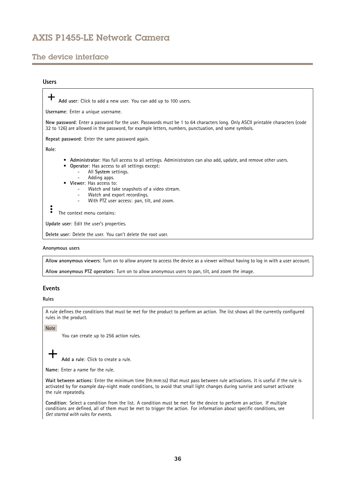# The device interface

## **Users**

**Add user**: Click to add <sup>a</sup> new user. You can add up to 100 users. **Username**: Enter <sup>a</sup> unique username. **New password**: Enter <sup>a</sup> password for the user. Passwords must be <sup>1</sup> to <sup>64</sup> characters long. Only ASCII printable characters (code <sup>32</sup> to 126) are allowed in the password, for example letters, numbers, punctuation, and some symbols. **Repeat password**: Enter the same password again. **Role**: • **Administrator**: Has full access to all settings. Administrators can also add, update, and remove other users. • **Operator**: Has access to all settings except: All **System** settings. Adding apps. • **Viewer**: Has access to: Watch and take snapshots of <sup>a</sup> video stream. Watch and export recordings. With PTZ user access: pan, tilt, and zoom. The context menu contains: **Update user**: Edit the user's properties. **Delete user**: Delete the user. You can't delete the root user.

### **Anonymous users**

**Allow anonymous viewers**: Turn on to allow anyone to access the device as <sup>a</sup> viewer without having to log in with <sup>a</sup> user account.

**Allow anonymous PTZ operators**: Turn on to allow anonymous users to pan, tilt, and zoom the image.

## **Events**

### **Rules**

A rule defines the conditions that must be met for the product to perform an action. The list shows all the currently configured rules in the product.

Note

You can create up to 256 action rules.

**Add <sup>a</sup> rule**: Click to create <sup>a</sup> rule.

**Name**: Enter a name for the rule.

**Wait between actions**: Enter the minimum time (hh:mm:ss) that must pass between rule activations. It is useful if the rule is activated by for example day-night mode conditions, to avoid that small light changes during sunrise and sunset activate the rule repeatedly.

**Condition**: Select <sup>a</sup> condition from the list. A condition must be met for the device to perform an action. If multiple conditions are defined, all of them must be met to trigger the action. For information about specific conditions, see *Get [started](https://help.axis.com/get-started-with-rules-for-events#conditions) with rules for events*.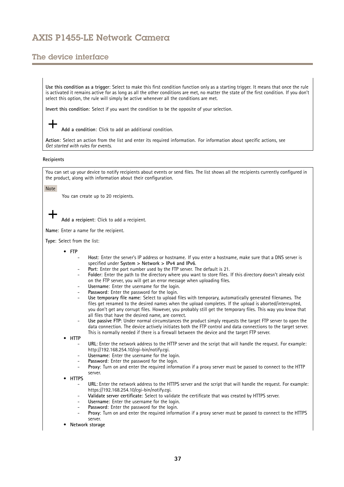# The device interface

**Use this condition as <sup>a</sup> trigger**: Select to make this first condition function only as <sup>a</sup> starting trigger. It means that once the rule is activated it remains active for as long as all the other conditions are met, no matter the state of the first condition. If you don't select this option, the rule will simply be active whenever all the conditions are met.

**Invert this condition**: Select if you want the condition to be the opposite of your selection.

**Add <sup>a</sup> condition**: Click to add an additional condition.

**Action**: Select an action from the list and enter its required information. For information about specific actions, see *Get [started](https://help.axis.com/get-started-with-rules-for-events#actions) with rules for events*.

#### **Recipients**

You can set up your device to notify recipients about events or send files. The list shows all the recipients currently configured in the product, along with information about their configuration.

#### Note

You can create up to 20 recipients.

**Add <sup>a</sup> recipient**: Click to add <sup>a</sup> recipient.

**Name**: Enter <sup>a</sup> name for the recipient.

**Type**: Select from the list:

- **FTP**
	- **Host**: Enter the server's IP address or hostname. If you enter <sup>a</sup> hostname, make sure that <sup>a</sup> DNS server is specified under **System <sup>&</sup>gt; Network <sup>&</sup>gt; IPv4 and IPv6**.
	- **Port**: Enter the port number used by the FTP server. The default is 21.
	- **Folder**: Enter the path to the directory where you want to store files. If this directory doesn't already exist on the FTP server, you will get an error message when uploading files.
	- **Username**: Enter the username for the login.
	- **Password**: Enter the password for the login.
	- **Use temporary file name**: Select to upload files with temporary, automatically generated filenames. The files get renamed to the desired names when the upload completes. If the upload is aborted/interrupted, you don't get any corrupt files. However, you probably still get the temporary files. This way you know that all files that have the desired name, are correct.
	- **Use passive FTP**: Under normal circumstances the product simply requests the target FTP server to open the data connection. The device actively initiates both the FTP control and data connections to the target server. This is normally needed if there is <sup>a</sup> firewall between the device and the target FTP server.

•**HTTP**

- **URL**: Enter the network address to the HTTP server and the script that will handle the request. For example: http://192.168.254.10/cgi-bin/notify.cgi.
- **Username**: Enter the username for the login.
- **Password**: Enter the password for the login.
- **Proxy**: Turn on and enter the required information if <sup>a</sup> proxy server must be passed to connect to the HTTP server.
- • **HTTPS**
	- **URL**: Enter the network address to the HTTPS server and the script that will handle the request. For example: https://192.168.254.10/cgi-bin/notify.cgi.
	- **Validate server certificate**: Select to validate the certificate that was created by HTTPS server.
	- **Username**: Enter the username for the login.
	- **Password**: Enter the password for the login.
	- **Proxy**: Turn on and enter the required information if <sup>a</sup> proxy server must be passed to connect to the HTTPS server.
- •**Network storage**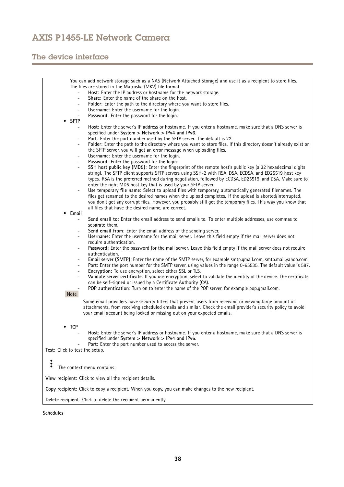# The device interface

|                                | You can add network storage such as a NAS (Network Attached Storage) and use it as a recipient to store files.                                                                                                                                |
|--------------------------------|-----------------------------------------------------------------------------------------------------------------------------------------------------------------------------------------------------------------------------------------------|
|                                | The files are stored in the Matroska (MKV) file format.                                                                                                                                                                                       |
|                                | Host: Enter the IP address or hostname for the network storage.<br>$\overline{a}$<br>Share: Enter the name of the share on the host.<br>$\overline{\phantom{a}}$                                                                              |
|                                | Folder: Enter the path to the directory where you want to store files.<br>-                                                                                                                                                                   |
|                                | Username: Enter the username for the login.<br>-                                                                                                                                                                                              |
|                                | Password: Enter the password for the login.<br>۰                                                                                                                                                                                              |
| <b>SFTP</b>                    |                                                                                                                                                                                                                                               |
|                                | Host: Enter the server's IP address or hostname. If you enter a hostname, make sure that a DNS server is<br>-                                                                                                                                 |
|                                | specified under System > Network > IPv4 and IPv6.                                                                                                                                                                                             |
|                                | Port: Enter the port number used by the SFTP server. The default is 22.<br>$\overline{\phantom{0}}$                                                                                                                                           |
|                                | Folder: Enter the path to the directory where you want to store files. If this directory doesn't already exist on<br>-<br>the SFTP server, you will get an error message when uploading files.                                                |
|                                | Username: Enter the username for the login.<br>$\overline{\phantom{a}}$                                                                                                                                                                       |
|                                | Password: Enter the password for the login.<br>$\overline{\phantom{a}}$                                                                                                                                                                       |
|                                | SSH host public key (MD5): Enter the fingerprint of the remote host's public key (a 32 hexadecimal digits<br>$\overline{\phantom{a}}$                                                                                                         |
|                                | string). The SFTP client supports SFTP servers using SSH-2 with RSA, DSA, ECDSA, and ED25519 host key                                                                                                                                         |
|                                | types. RSA is the preferred method during negotiation, followed by ECDSA, ED25519, and DSA. Make sure to                                                                                                                                      |
|                                | enter the right MD5 host key that is used by your SFTP server.                                                                                                                                                                                |
|                                | Use temporary file name: Select to upload files with temporary, automatically generated filenames. The<br>$\overline{\phantom{a}}$<br>files get renamed to the desired names when the upload completes. If the upload is aborted/interrupted, |
|                                | you don't get any corrupt files. However, you probably still get the temporary files. This way you know that                                                                                                                                  |
|                                | all files that have the desired name, are correct.                                                                                                                                                                                            |
| Email                          |                                                                                                                                                                                                                                               |
|                                | Send email to: Enter the email address to send emails to. To enter multiple addresses, use commas to<br>$\overline{\phantom{a}}$                                                                                                              |
|                                | separate them.                                                                                                                                                                                                                                |
|                                | Send email from: Enter the email address of the sending server.<br>Ξ.<br>Username: Enter the username for the mail server. Leave this field empty if the mail server does not                                                                 |
|                                | $\overline{\phantom{0}}$<br>require authentication.                                                                                                                                                                                           |
|                                | Password: Enter the password for the mail server. Leave this field empty if the mail server does not require<br>$\overline{\phantom{0}}$                                                                                                      |
|                                | authentication.                                                                                                                                                                                                                               |
|                                | Email server (SMTP): Enter the name of the SMTP server, for example smtp.gmail.com, smtp.mail.yahoo.com.<br>Ξ.                                                                                                                                |
|                                | Port: Enter the port number for the SMTP server, using values in the range 0-65535. The default value is 587.<br>$\overline{\phantom{a}}$                                                                                                     |
|                                | Encryption: To use encryption, select either SSL or TLS.<br>Ξ.                                                                                                                                                                                |
|                                | Validate server certificate: If you use encryption, select to validate the identity of the device. The certificate<br>can be self-signed or issued by a Certificate Authority (CA).                                                           |
|                                | POP authentication: Turn on to enter the name of the POP server, for example pop.gmail.com.                                                                                                                                                   |
| Note                           |                                                                                                                                                                                                                                               |
|                                | Some email providers have security filters that prevent users from receiving or viewing large amount of                                                                                                                                       |
|                                | attachments, from receiving scheduled emails and similar. Check the email provider's security policy to avoid                                                                                                                                 |
|                                | your email account being locked or missing out on your expected emails.                                                                                                                                                                       |
|                                |                                                                                                                                                                                                                                               |
| TCP<br>٠                       |                                                                                                                                                                                                                                               |
|                                | Host: Enter the server's IP address or hostname. If you enter a hostname, make sure that a DNS server is                                                                                                                                      |
|                                | specified under System > Network > IPv4 and IPv6.                                                                                                                                                                                             |
| Test: Click to test the setup. | Port: Enter the port number used to access the server.                                                                                                                                                                                        |
|                                |                                                                                                                                                                                                                                               |
| $\ddot{\bullet}$               |                                                                                                                                                                                                                                               |
| ٠                              | The context menu contains:                                                                                                                                                                                                                    |
|                                | View recipient: Click to view all the recipient details.                                                                                                                                                                                      |
|                                | Copy recipient: Click to copy a recipient. When you copy, you can make changes to the new recipient.                                                                                                                                          |
|                                | Delete recipient: Click to delete the recipient permanently.                                                                                                                                                                                  |
|                                |                                                                                                                                                                                                                                               |

**Schedules**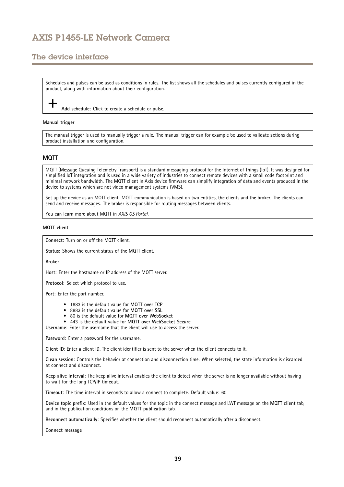# The device interface

Schedules and pulses can be used as conditions in rules. The list shows all the schedules and pulses currently configured in the product, along with information about their configuration.

**Add schedule**: Click to create <sup>a</sup> schedule or pulse.

#### **Manual trigger**

The manual trigger is used to manually trigger <sup>a</sup> rule. The manual trigger can for example be used to validate actions during product installation and configuration.

## **MQTT**

MQTT (Message Queuing Telemetry Transport) is <sup>a</sup> standard messaging protocol for the Internet of Things (IoT). It was designed for simplified IoT integration and is used in <sup>a</sup> wide variety of industries to connect remote devices with <sup>a</sup> small code footprint and minimal network bandwidth. The MQTT client in Axis device firmware can simplify integration of data and events produced in the device to systems which are not video management systems (VMS).

Set up the device as an MQTT client. MQTT communication is based on two entities, the clients and the broker. The clients can send and receive messages. The broker is responsible for routing messages between clients.

You can learn more about MQTT in *AXIS OS [Portal](https://help.axis.com/axis-os#mqtt)*.

### **MQTT client**

**Connect**: Turn on or off the MQTT client.

**Status**: Shows the current status of the MQTT client.

**Broker**

**Host**: Enter the hostname or IP address of the MQTT server.

**Protocol**: Select which protocol to use.

**Port**: Enter the port number.

- 1883 is the default value for **MQTT over TCP**
- 8883 is the default value for **MQTT over SSL**
- 80 is the default value for **MQTT over WebSocket**
- 443 is the default value for **MQTT over WebSocket Secure**

**Username**: Enter the username that the client will use to access the server.

**Password**: Enter <sup>a</sup> password for the username.

**Client ID**: Enter <sup>a</sup> client ID. The client identifier is sent to the server when the client connects to it.

**Clean session**: Controls the behavior at connection and disconnection time. When selected, the state information is discarded at connect and disconnect.

**Keep alive interval**: The keep alive interval enables the client to detect when the server is no longer available without having to wait for the long TCP/IP timeout.

**Timeout**: The time interval in seconds to allow <sup>a</sup> connect to complete. Default value: 60

**Device topic prefix**: Used in the default values for the topic in the connect message and LWT message on the **MQTT client** tab, and in the publication conditions on the **MQTT publication** tab.

**Reconnect automatically**: Specifies whether the client should reconnect automatically after <sup>a</sup> disconnect.

**Connect message**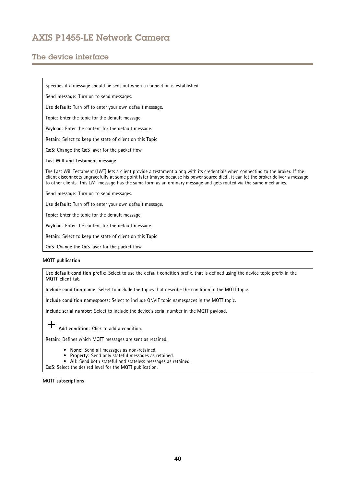# The device interface

Specifies if <sup>a</sup> message should be sent out when <sup>a</sup> connection is established.

**Send message**: Turn on to send messages.

**Use default**: Turn off to enter your own default message.

**Topic**: Enter the topic for the default message.

**Payload**: Enter the content for the default message.

**Retain**: Select to keep the state of client on this **Topic**

**QoS**: Change the QoS layer for the packet flow.

**Last Will and Testament message**

The Last Will Testament (LWT) lets <sup>a</sup> client provide <sup>a</sup> testament along with its credentials when connecting to the broker. If the client disconnects ungracefully at some point later (maybe because his power source died), it can let the broker deliver <sup>a</sup> message to other clients. This LWT message has the same form as an ordinary message and gets routed via the same mechanics.

**Send message**: Turn on to send messages.

**Use default**: Turn off to enter your own default message.

**Topic**: Enter the topic for the default message.

**Payload**: Enter the content for the default message.

**Retain**: Select to keep the state of client on this **Topic**

**QoS**: Change the QoS layer for the packet flow.

#### **MQTT publication**

**Use default condition prefix**: Select to use the default condition prefix, that is defined using the device topic prefix in the **MQTT client** tab.

**Include condition name**: Select to include the topics that describe the condition in the MQTT topic.

**Include condition namespaces**: Select to include ONVIF topic namespaces in the MQTT topic.

**Include serial number**: Select to include the device's serial number in the MQTT payload.

**Add condition**: Click to add <sup>a</sup> condition.

**Retain**: Defines which MQTT messages are sent as retained.

- **None**: Send all messages as non-retained.
- **Property**: Send only stateful messages as retained.
- **All**: Send both stateful and stateless messages as retained.

**QoS**: Select the desired level for the MQTT publication.

**MQTT subscriptions**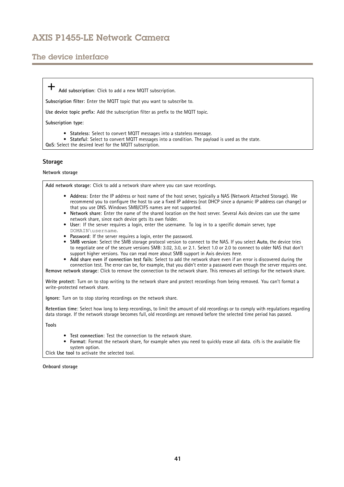# The device interface

**Add subscription**: Click to add <sup>a</sup> new MQTT subscription.

**Subscription filter**: Enter the MQTT topic that you want to subscribe to.

**Use device topic prefix**: Add the subscription filter as prefix to the MQTT topic.

**Subscription type**:

- **Stateless**: Select to convert MQTT messages into <sup>a</sup> stateless message.
- •**Stateful**: Select to convert MQTT messages into <sup>a</sup> condition. The payload is used as the state.

**QoS**: Select the desired level for the MQTT subscription.

## **Storage**

**Network storage**

**Add network storage**: Click to add <sup>a</sup> network share where you can save recordings.

- **Address**: Enter the IP address or host name of the host server, typically <sup>a</sup> NAS (Network Attached Storage). We recommend you to configure the host to use <sup>a</sup> fixed IP address (not DHCP since <sup>a</sup> dynamic IP address can change) or that you use DNS. Windows SMB/CIFS names are not supported.
- **Network share**: Enter the name of the shared location on the host server. Several Axis devices can use the same network share, since each device gets its own folder.
- **User**: If the server requires <sup>a</sup> login, enter the username. To log in to <sup>a</sup> specific domain server, type DOMAIN\username.
- **Password**: If the server requires <sup>a</sup> login, enter the password.
- **SMB version**: Select the SMB storage protocol version to connect to the NAS. If you select **Auto**, the device tries to negotiate one of the secure versions SMB: 3.02, 3.0, or 2.1. Select 1.0 or 2.0 to connect to older NAS that don't support higher versions. You can read more about SMB support in Axis devices *[here](https://help.axis.com/axis-os#about-cifssmb-support)*.
- **Add share even if connection test fails**: Select to add the network share even if an error is discovered during the

connection test. The error can be, for example, that you didn't enter <sup>a</sup> password even though the server requires one. **Remove network storage**: Click to remove the connection to the network share. This removes all settings for the network share.

**Write protect**: Turn on to stop writing to the network share and protect recordings from being removed. You can't format <sup>a</sup> write-protected network share.

**Ignore**: Turn on to stop storing recordings on the network share.

**Retention time**: Select how long to keep recordings, to limit the amount of old recordings or to comply with regulations regarding data storage. If the network storage becomes full, old recordings are removed before the selected time period has passed.

**Tools**

- **Test connection**: Test the connection to the network share.
- • **Format**: Format the network share, for example when you need to quickly erase all data. cifs is the available file system option.

Click **Use tool** to activate the selected tool.

**Onboard storage**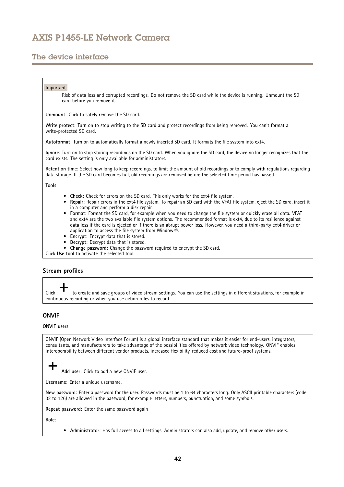# The device interface

### Important

Risk of data loss and corrupted recordings. Do not remove the SD card while the device is running. Unmount the SD card before you remove it.

**Unmount**: Click to safely remove the SD card.

**Write protect**: Turn on to stop writing to the SD card and protect recordings from being removed. You can't format <sup>a</sup> write-protected SD card.

**Autoformat**: Turn on to automatically format <sup>a</sup> newly inserted SD card. It formats the file system into ext4.

**Ignore**: Turn on to stop storing recordings on the SD card. When you ignore the SD card, the device no longer recognizes that the card exists. The setting is only available for administrators.

**Retention time**: Select how long to keep recordings, to limit the amount of old recordings or to comply with regulations regarding data storage. If the SD card becomes full, old recordings are removed before the selected time period has passed.

**Tools**

- **Check**: Check for errors on the SD card. This only works for the ext4 file system.
- $\bullet$  **Repair**: Repair errors in the ext4 file system. To repair an SD card with the VFAT file system, eject the SD card, insert it in <sup>a</sup> computer and perform <sup>a</sup> disk repair.
- • **Format**: Format the SD card, for example when you need to change the file system or quickly erase all data. VFAT and ext4 are the two available file system options. The recommended format is ext4, due to its resilience against data loss if the card is ejected or if there is an abrupt power loss. However, you need <sup>a</sup> third-party ext4 driver or application to access the file system from Windows®.
- **Encrypt**: Encrypt data that is stored.
- •**Decrypt**: Decrypt data that is stored.
- **Change password**: Change the password required to encrypt the SD card.

Click **Use tool** to activate the selected tool.

## **Stream profiles**

Click to create and save groups of video stream settings. You can use the settings in different situations, for example in continuous recording or when you use action rules to record.

## **ONVIF**

### **ONVIF users**

ONVIF (Open Network Video Interface Forum) is <sup>a</sup> global interface standard that makes it easier for end-users, integrators, consultants, and manufacturers to take advantage of the possibilities offered by network video technology. ONVIF enables interoperability between different vendor products, increased flexibility, reduced cost and future-proof systems.

**Add user**: Click to add <sup>a</sup> new ONVIF user.

**Username**: Enter <sup>a</sup> unique username.

**New password**: Enter <sup>a</sup> password for the user. Passwords must be <sup>1</sup> to <sup>64</sup> characters long. Only ASCII printable characters (code <sup>32</sup> to 126) are allowed in the password, for example letters, numbers, punctuation, and some symbols.

**Repeat password**: Enter the same password again

**Role**:

• **Administrator**: Has full access to all settings. Administrators can also add, update, and remove other users.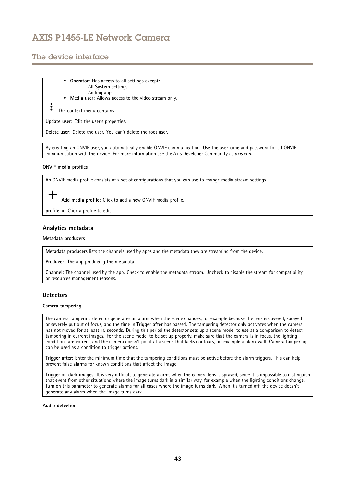# The device interface

- • **Operator**: Has access to all settings except:
	- All **System** settings. Adding apps.
- •**Media user**: Allows access to the video stream only.

The context menu contains:

**Update user**: Edit the user's properties.

**Delete user**: Delete the user. You can't delete the root user.

By creating an ONVIF user, you automatically enable ONVIF communication. Use the username and password for all ONVIF communication with the device. For more information see the Axis Developer Community at *[axis.com](https://www.axis.com/developer-community-intro)*.

## **ONVIF media profiles**

An ONVIF media profile consists of <sup>a</sup> set of configurations that you can use to change media stream settings.

**Add media profile**: Click to add <sup>a</sup> new ONVIF media profile.

**profile\_x**: Click <sup>a</sup> profile to edit.

## **Analytics metadata**

### **Metadata producers**

**Metadata producers** lists the channels used by apps and the metadata they are streaming from the device.

**Producer**: The app producing the metadata.

**Channel**: The channel used by the app. Check to enable the metadata stream. Uncheck to disable the stream for compatibility or resources management reasons.

## **Detectors**

### **Camera tampering**

The camera tampering detector generates an alarm when the scene changes, for example because the lens is covered, sprayed or severely put out of focus, and the time in **Trigger after** has passed. The tampering detector only activates when the camera has not moved for at least 10 seconds. During this period the detector sets up <sup>a</sup> scene model to use as <sup>a</sup> comparison to detect tampering in current images. For the scene model to be set up properly, make sure that the camera is in focus, the lighting conditions are correct, and the camera doesn't point at <sup>a</sup> scene that lacks contours, for example <sup>a</sup> blank wall. Camera tampering can be used as <sup>a</sup> condition to trigger actions.

**Trigger after**: Enter the minimum time that the tampering conditions must be active before the alarm triggers. This can help prevent false alarms for known conditions that affect the image.

**Trigger on dark images**: It is very difficult to generate alarms when the camera lens is sprayed, since it is impossible to distinguish that event from other situations where the image turns dark in <sup>a</sup> similar way, for example when the lighting conditions change. Turn on this parameter to generate alarms for all cases where the image turns dark. When it's turned off, the device doesn't generate any alarm when the image turns dark.

#### **Audio detection**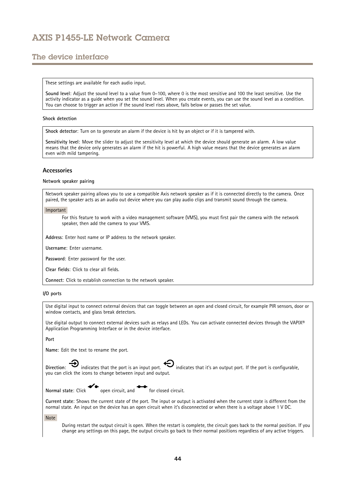# The device interface

These settings are available for each audio input.

**Sound level**: Adjust the sound level to <sup>a</sup> value from 0–100, where 0 is the most sensitive and 100 the least sensitive. Use the activity indicator as <sup>a</sup> guide when you set the sound level. When you create events, you can use the sound level as <sup>a</sup> condition. You can choose to trigger an action if the sound level rises above, falls below or passes the set value.

#### **Shock detection**

**Shock detector**: Turn on to generate an alarm if the device is hit by an object or if it is tampered with.

**Sensitivity level**: Move the slider to adjust the sensitivity level at which the device should generate an alarm. A low value means that the device only generates an alarm if the hit is powerful. A high value means that the device generates an alarm even with mild tampering.

### **Accessories**

#### **Network speaker pairing**

Network speaker pairing allows you to use <sup>a</sup> compatible Axis network speaker as if it is connected directly to the camera. Once paired, the speaker acts as an audio out device where you can play audio clips and transmit sound through the camera.

### Important

For this feature to work with <sup>a</sup> video management software (VMS), you must first pair the camera with the network speaker, then add the camera to your VMS.

**Address**: Enter host name or IP address to the network speaker.

**Username**: Enter username.

**Password**: Enter password for the user.

**Clear fields**: Click to clear all fields.

**Connect**: Click to establish connection to the network speaker.

### **I/O ports**

Use digital input to connect external devices that can toggle between an open and closed circuit, for example PIR sensors, door or window contacts, and glass break detectors.

Use digital output to connect external devices such as relays and LEDs. You can activate connected devices through the VAPIX® Application Programming Interface or in the device interface.

### **Port**

**Name**: Edit the text to rename the port.

Direction:  $\bigoplus$  indicates that the port is an input port.  $\bigoplus$  indicates that it's an output port. If the port is configurable, you can click the icons to change between input and output.

**Normal state:** Click open circuit, and for closed circuit.

**Current state**: Shows the current state of the port. The input or output is activated when the current state is different from the normal state. An input on the device has an open circuit when it's disconnected or when there is <sup>a</sup> voltage above <sup>1</sup> V DC.

Note

During restart the output circuit is open. When the restart is complete, the circuit goes back to the normal position. If you change any settings on this page, the output circuits go back to their normal positions regardless of any active triggers.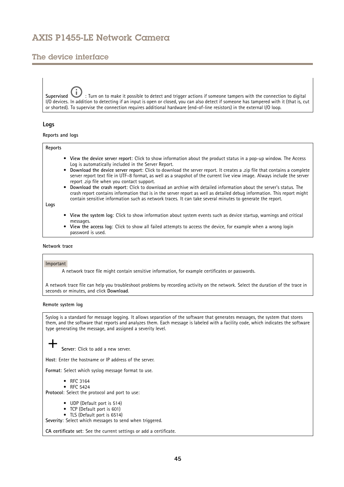# The device interface

**Supervised** : Turn on to make it possible to detect and trigger actions if someone tampers with the connection to digital I/O devices. In addition to detecting if an input is open or closed, you can also detect if someone has tampered with it (that is, cut or shorted). To supervise the connection requires additional hardware (end-of-line resistors) in the external I/O loop.

## **Logs**

**Reports and logs**

### **Reports**

- **View the device server report**: Click to show information about the product status in <sup>a</sup> pop-up window. The Access Log is automatically included in the Server Report.
- • **Download the device server report**: Click to download the server report. It creates <sup>a</sup> .zip file that contains <sup>a</sup> complete server report text file in UTF–8 format, as well as <sup>a</sup> snapshot of the current live view image. Always include the server report .zip file when you contact support.
- **Download the crash report**: Click to download an archive with detailed information about the server's status. The crash report contains information that is in the server report as well as detailed debug information. This report might contain sensitive information such as network traces. It can take several minutes to generate the report.

**Logs**

- • **View the system log**: Click to show information about system events such as device startup, warnings and critical messages.
- • **View the access log**: Click to show all failed attempts to access the device, for example when <sup>a</sup> wrong login password is used.

## **Network trace**

#### Important

A network trace file might contain sensitive information, for example certificates or passwords.

A network trace file can help you troubleshoot problems by recording activity on the network. Select the duration of the trace in seconds or minutes, and click **Download**.

### **Remote system log**

Syslog is <sup>a</sup> standard for message logging. It allows separation of the software that generates messages, the system that stores them, and the software that reports and analyzes them. Each message is labeled with <sup>a</sup> facility code, which indicates the software type generating the message, and assigned <sup>a</sup> severity level.

**Server**: Click to add <sup>a</sup> new server.

**Host**: Enter the hostname or IP address of the server.

**Format**: Select which syslog message format to use.

- RFC 3164
- RFC 5424

**Protocol**: Select the protocol and port to use:

- UDP (Default port is 514)
- TCP (Default port is 601)
- TLS (Default port is 6514)

**Severity**: Select which messages to send when triggered.

**CA certificate set**: See the current settings or add <sup>a</sup> certificate.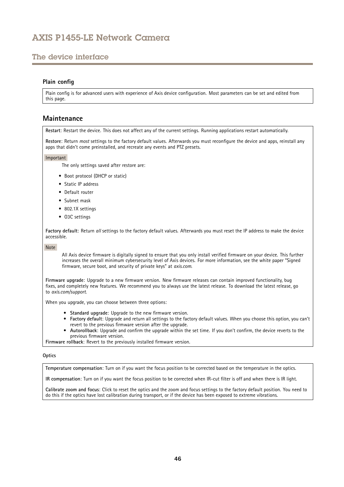# <span id="page-45-0"></span>The device interface

## **Plain config**

Plain config is for advanced users with experience of Axis device configuration. Most parameters can be set and edited from this page.

## **Maintenance**

**Restart**: Restart the device. This does not affect any of the current settings. Running applications restart automatically.

**Restore**: Return *most* settings to the factory default values. Afterwards you must reconfigure the device and apps, reinstall any apps that didn't come preinstalled, and recreate any events and PTZ presets.

#### Important

The only settings saved after restore are:

- Boot protocol (DHCP or static)
- Static IP address
- Default router
- Subnet mask
- 802.1X settings
- O3C settings

**Factory default**: Return *all* settings to the factory default values. Afterwards you must reset the IP address to make the device accessible.

Note

All Axis device firmware is digitally signed to ensure that you only install verified firmware on your device. This further increases the overall minimum cybersecurity level of Axis devices. For more information, see the white paper "Signed firmware, secure boot, and security of private keys" at *[axis.com](https://www.axis.com/learning/white-papers)*.

**Firmware upgrade**: Upgrade to <sup>a</sup> new firmware version. New firmware releases can contain improved functionality, bug fixes, and completely new features. We recommend you to always use the latest release. To download the latest release, go to *[axis.com/support](https://www.axis.com/support/firmware)*.

When you upgrade, you can choose between three options:

- **Standard upgrade**: Upgrade to the new firmware version.
- **Factory default**: Upgrade and return all settings to the factory default values. When you choose this option, you can't revert to the previous firmware version after the upgrade.
- • **Autorollback**: Upgrade and confirm the upgrade within the set time. If you don't confirm, the device reverts to the previous firmware version.

**Firmware rollback**: Revert to the previously installed firmware version.

#### **Optics**

**Temperature compensation**: Turn on if you want the focus position to be corrected based on the temperature in the optics.

**IR compensation**: Turn on if you want the focus position to be corrected when IR-cut filter is off and when there is IR light.

**Calibrate zoom and focus**: Click to reset the optics and the zoom and focus settings to the factory default position. You need to do this if the optics have lost calibration during transport, or if the device has been exposed to extreme vibrations.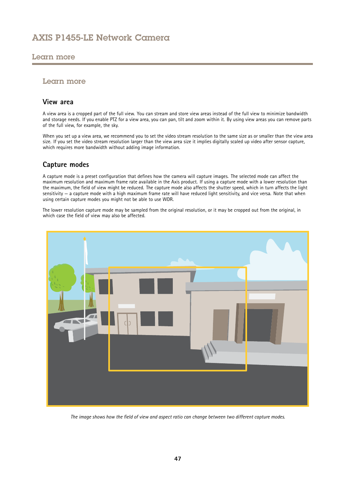## <span id="page-46-0"></span>Learn more

## Learn more

## **View area**

A view area is <sup>a</sup> cropped part of the full view. You can stream and store view areas instead of the full view to minimize bandwidth and storage needs. If you enable PTZ for <sup>a</sup> view area, you can pan, tilt and zoom within it. By using view areas you can remove parts of the full view, for example, the sky.

When you set up <sup>a</sup> view area, we recommend you to set the video stream resolution to the same size as or smaller than the view area size. If you set the video stream resolution larger than the view area size it implies digitally scaled up video after sensor capture, which requires more bandwidth without adding image information.

# **Capture modes**

A capture mode is <sup>a</sup> preset configuration that defines how the camera will capture images. The selected mode can affect the maximum resolution and maximum frame rate available in the Axis product. If using <sup>a</sup> capture mode with <sup>a</sup> lower resolution than the maximum, the field of view might be reduced. The capture mode also affects the shutter speed, which in turn affects the light sensitivity — <sup>a</sup> capture mode with <sup>a</sup> high maximum frame rate will have reduced light sensitivity, and vice versa. Note that when using certain capture modes you might not be able to use WDR.

The lower resolution capture mode may be sampled from the original resolution, or it may be cropped out from the original, in which case the field of view may also be affected.



The image shows how the field of view and aspect ratio can change between two different capture modes.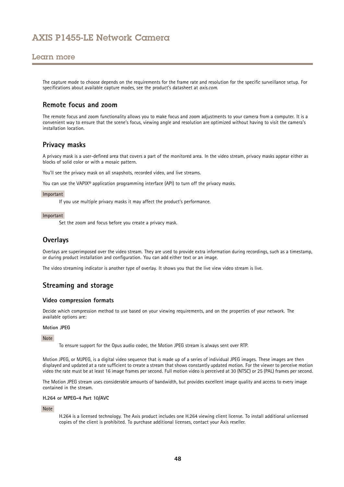## <span id="page-47-0"></span>Learn more

The capture mode to choose depends on the requirements for the frame rate and resolution for the specific surveillance setup. For specifications about available capture modes, see the product's datasheet at *[axis.com](https://www.axis.com)*.

## **Remote focus and zoom**

The remote focus and zoom functionality allows you to make focus and zoom adjustments to your camera from <sup>a</sup> computer. It is <sup>a</sup> convenient way to ensure that the scene's focus, viewing angle and resolution are optimized without having to visit the camera's installation location.

## **Privacy masks**

A privacy mask is <sup>a</sup> user-defined area that covers <sup>a</sup> part of the monitored area. In the video stream, privacy masks appear either as blocks of solid color or with <sup>a</sup> mosaic pattern.

You'll see the privacy mask on all snapshots, recorded video, and live streams.

You can use the VAPIX® application programming interface (API) to turn off the privacy masks.

#### Important

If you use multiple privacy masks it may affect the product's performance.

#### Important

Set the zoom and focus before you create <sup>a</sup> privacy mask.

## **Overlays**

Overlays are superimposed over the video stream. They are used to provide extra information during recordings, such as <sup>a</sup> timestamp, or during product installation and configuration. You can add either text or an image.

The video streaming indicator is another type of overlay. It shows you that the live view video stream is live.

## **Streaming and storage**

## **Video compression formats**

Decide which compression method to use based on your viewing requirements, and on the properties of your network. The available options are:

#### **Motion JPEG**

#### Note

To ensure support for the Opus audio codec, the Motion JPEG stream is always sent over RTP.

Motion JPEG, or MJPEG, is <sup>a</sup> digital video sequence that is made up of <sup>a</sup> series of individual JPEG images. These images are then displayed and updated at <sup>a</sup> rate sufficient to create <sup>a</sup> stream that shows constantly updated motion. For the viewer to perceive motion video the rate must be at least <sup>16</sup> image frames per second. Full motion video is perceived at <sup>30</sup> (NTSC) or <sup>25</sup> (PAL) frames per second.

The Motion JPEG stream uses considerable amounts of bandwidth, but provides excellent image quality and access to every image contained in the stream.

### **H.264 or MPEG-4 Part 10/AVC**

Note

H.264 is <sup>a</sup> licensed technology. The Axis product includes one H.264 viewing client license. To install additional unlicensed copies of the client is prohibited. To purchase additional licenses, contact your Axis reseller.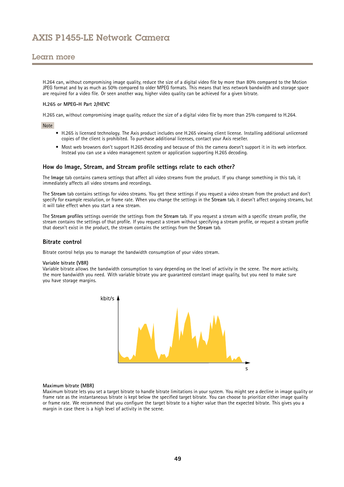## Learn more

H.264 can, without compromising image quality, reduce the size of <sup>a</sup> digital video file by more than 80% compared to the Motion JPEG format and by as much as 50% compared to older MPEG formats. This means that less network bandwidth and storage space are required for <sup>a</sup> video file. Or seen another way, higher video quality can be achieved for <sup>a</sup> given bitrate.

### **H.265 or MPEG-H Part 2/HEVC**

H.265 can, without compromising image quality, reduce the size of <sup>a</sup> digital video file by more than 25% compared to H.264.

#### Note

- H.265 is licensed technology. The Axis product includes one H.265 viewing client license. Installing additional unlicensed copies of the client is prohibited. To purchase additional licenses, contact your Axis reseller.
- Most web browsers don't support H.265 decoding and because of this the camera doesn't support it in its web interface. Instead you can use <sup>a</sup> video management system or application supporting H.265 decoding.

## **How do Image, Stream, and Stream profile settings relate to each other?**

The **Image** tab contains camera settings that affect all video streams from the product. If you change something in this tab, it immediately affects all video streams and recordings.

The **Stream** tab contains settings for video streams. You get these settings if you request <sup>a</sup> video stream from the product and don't specify for example resolution, or frame rate. When you change the settings in the **Stream** tab, it doesn't affect ongoing streams, but it will take effect when you start <sup>a</sup> new stream.

The **Stream profiles** settings override the settings from the **Stream** tab. If you request <sup>a</sup> stream with <sup>a</sup> specific stream profile, the stream contains the settings of that profile. If you request <sup>a</sup> stream without specifying <sup>a</sup> stream profile, or request <sup>a</sup> stream profile that doesn't exist in the product, the stream contains the settings from the **Stream** tab.

## **Bitrate control**

Bitrate control helps you to manage the bandwidth consumption of your video stream.

#### **Variable bitrate (VBR)**

Variable bitrate allows the bandwidth consumption to vary depending on the level of activity in the scene. The more activity, the more bandwidth you need. With variable bitrate you are guaranteed constant image quality, but you need to make sure you have storage margins.



#### **Maximum bitrate (MBR)**

Maximum bitrate lets you set <sup>a</sup> target bitrate to handle bitrate limitations in your system. You might see <sup>a</sup> decline in image quality or frame rate as the instantaneous bitrate is kept below the specified target bitrate. You can choose to prioritize either image quality or frame rate. We recommend that you configure the target bitrate to <sup>a</sup> higher value than the expected bitrate. This gives you <sup>a</sup> margin in case there is <sup>a</sup> high level of activity in the scene.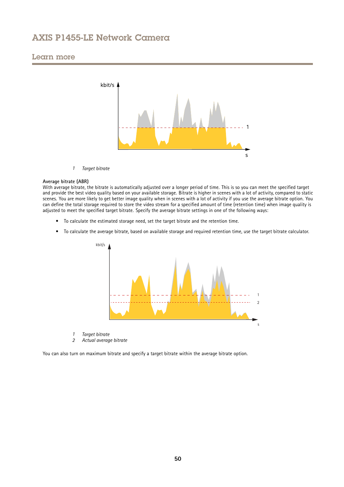## Learn more



*1 Target bitrate*

#### **Average bitrate (ABR)**

With average bitrate, the bitrate is automatically adjusted over <sup>a</sup> longer period of time. This is so you can meet the specified target and provide the best video quality based on your available storage. Bitrate is higher in scenes with <sup>a</sup> lot of activity, compared to static scenes. You are more likely to get better image quality when in scenes with <sup>a</sup> lot of activity if you use the average bitrate option. You can define the total storage required to store the video stream for <sup>a</sup> specified amount of time (retention time) when image quality is adjusted to meet the specified target bitrate. Specify the average bitrate settings in one of the following ways:

- To calculate the estimated storage need, set the target bitrate and the retention time.
- To calculate the average bitrate, based on available storage and required retention time, use the target bitrate calculator.



- *1 Target bitrate*
- *2 Actual average bitrate*

You can also turn on maximum bitrate and specify <sup>a</sup> target bitrate within the average bitrate option.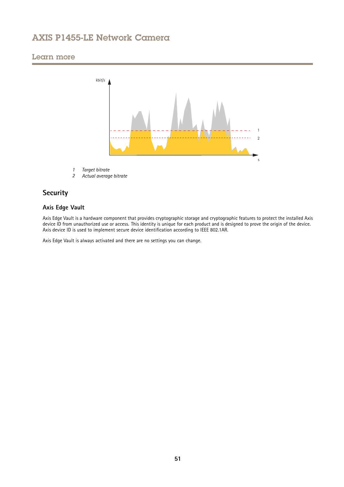# <span id="page-50-0"></span>Learn more



- *1 Target bitrate*
- *2 Actual average bitrate*

# **Security**

## **Axis Edge Vault**

Axis Edge Vault is <sup>a</sup> hardware component that provides cryptographic storage and cryptographic features to protect the installed Axis device ID from unauthorized use or access. This identity is unique for each product and is designed to prove the origin of the device. Axis device ID is used to implement secure device identification according to IEEE 802.1AR.

Axis Edge Vault is always activated and there are no settings you can change.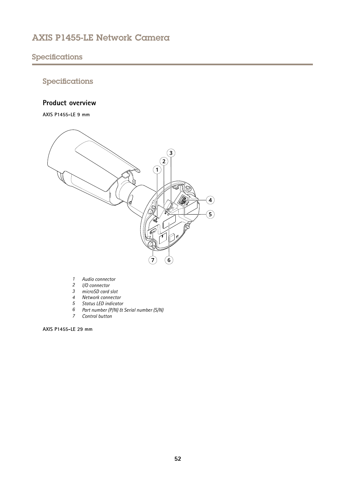# <span id="page-51-0"></span>Specifications

# Specifications

## **Product overview**

**AXIS P1455-LE 9 mm**



- *1 Audio connector*
- *2 I/O connector*
- *3 microSD card slot*
- *4 Network connector*
- *5 Status LED indicator*
- *6 Part number (P/N) & Serial number (S/N)*
- *7 Control button*

**AXIS P1455-LE 29 mm**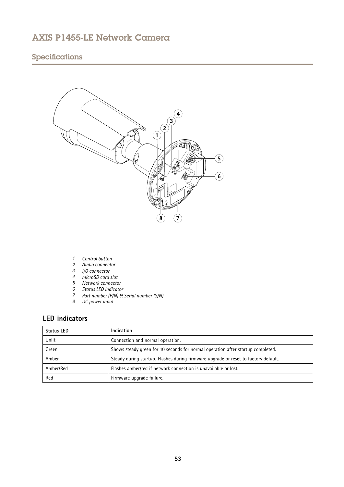# <span id="page-52-0"></span>Specifications



- *1 Control button*
- *2 Audio connector*
- 
- *4 microSD card slot*
- *5 Network connector*
- *3 I/O connector*
- *6 Status LED indicator <sup>7</sup> Part number (P/N) & Serial number (S/N)*
- *8 DC power input*

# **LED indicators**

| <b>Status LED</b> | Indication                                                                          |
|-------------------|-------------------------------------------------------------------------------------|
| Unlit             | Connection and normal operation.                                                    |
| Green             | Shows steady green for 10 seconds for normal operation after startup completed.     |
| Amber             | Steady during startup. Flashes during firmware upgrade or reset to factory default. |
| Amber/Red         | Flashes amber/red if network connection is unavailable or lost.                     |
| Red               | Firmware upgrade failure.                                                           |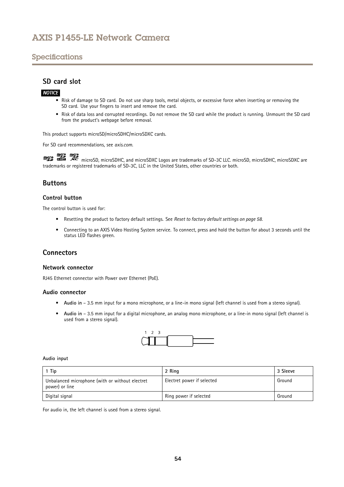# <span id="page-53-0"></span>Specifications

## **SD card slot**

## *NOTICE*

- Risk of damage to SD card. Do not use sharp tools, metal objects, or excessive force when inserting or removing the SD card. Use your fingers to insert and remove the card.
- Risk of data loss and corrupted recordings. Do not remove the SD card while the product is running. Unmount the SD card from the product's webpage before removal.

This product supports microSD/microSDHC/microSDXC cards.

For SD card recommendations, see *[axis.com](https://www.axis.com)*.

microsoft microsoft, and microSDXC Logos are trademarks of SD-3C LLC. microSD, microSDHC, microSDXC are microSDXC are microSDXC are microSDXC are microsoft and microSDXC are microsoft and microSDXC are microsoft and micros trademarks or registered trademarks of SD-3C, LLC in the United States, other countries or both.

## **Buttons**

## **Control button**

The control button is used for:

- Resetting the product to factory default settings. See *Reset to factory default [settings](#page-57-0) on page [58](#page-57-0)*.
- • Connecting to an AXIS Video Hosting System service. To connect, press and hold the button for about 3 seconds until the status LED flashes green.

## **Connectors**

### **Network connector**

RJ45 Ethernet connector with Power over Ethernet (PoE).

### **Audio connector**

- **Audio in** 3.5 mm input for <sup>a</sup> mono microphone, or <sup>a</sup> line-in mono signal (left channel is used from <sup>a</sup> stereo signal).
- • **Audio in** – 3.5 mm input for <sup>a</sup> digital microphone, an analog mono microphone, or <sup>a</sup> line-in mono signal (left channel is used from <sup>a</sup> stereo signal).



#### **Audio input**

| 1 Tip                                                             | 2 Ring                     | 3 Sleeve |
|-------------------------------------------------------------------|----------------------------|----------|
| Unbalanced microphone (with or without electret<br>power) or line | Electret power if selected | Ground   |
| Digital signal                                                    | Ring power if selected     | Ground   |

For audio in, the left channel is used from <sup>a</sup> stereo signal.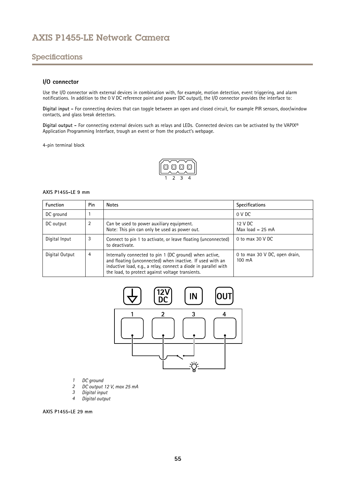# Specifications

## **I/O connector**

Use the I/O connector with external devices in combination with, for example, motion detection, event triggering, and alarm notifications. In addition to the <sup>0</sup> V DC reference point and power (DC output), the I/O connector provides the interface to:

**Digital input -** For connecting devices that can toggle between an open and closed circuit, for example PIR sensors, door/window contacts, and glass break detectors.

**Digital output -** For connecting external devices such as relays and LEDs. Connected devices can be activated by the VAPIX® Application Programming Interface, trough an event or from the product's webpage.

4-pin terminal block

$$
\begin{array}{|c|c|}\n\hline\n\textcircled{0} & \textcircled{0} \\
\hline\n1 & 2 & 3 & 4\n\end{array}
$$

### **AXIS P1455-LE 9 mm**

| <b>Function</b> | Pin | <b>Notes</b>                                                                                                                                                                                                                               | <b>Specifications</b>                   |
|-----------------|-----|--------------------------------------------------------------------------------------------------------------------------------------------------------------------------------------------------------------------------------------------|-----------------------------------------|
| DC ground       |     |                                                                                                                                                                                                                                            | 0 V DC                                  |
| DC output       | 2   | Can be used to power auxiliary equipment.<br>Note: This pin can only be used as power out.                                                                                                                                                 | 12 V DC<br>Max load $= 25$ mA           |
| Digital Input   | 3   | Connect to pin 1 to activate, or leave floating (unconnected)<br>to deactivate.                                                                                                                                                            | 0 to max $30$ V DC                      |
| Digital Output  | 4   | Internally connected to pin 1 (DC ground) when active,<br>and floating (unconnected) when inactive. If used with an<br>inductive load, e.g., a relay, connect a diode in parallel with<br>the load, to protect against voltage transients. | 0 to max 30 V DC, open drain,<br>100 mA |



- *1 DC ground*
- *2 DC output 12 V, max 25 mA*
- *3 Digital input*
- *<sup>4</sup> Digital output*

**AXIS P1455-LE 29 mm**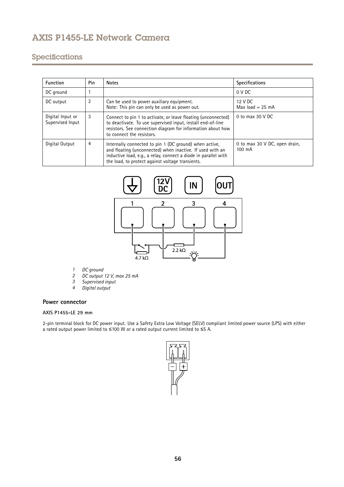# Specifications

| <b>Function</b>                      | <b>Pin</b>     | <b>Notes</b>                                                                                                                                                                                                                               | <b>Specifications</b>                   |
|--------------------------------------|----------------|--------------------------------------------------------------------------------------------------------------------------------------------------------------------------------------------------------------------------------------------|-----------------------------------------|
| DC ground                            |                |                                                                                                                                                                                                                                            | 0 V DC                                  |
| DC output                            | $\overline{2}$ | Can be used to power auxiliary equipment.<br>Note: This pin can only be used as power out.                                                                                                                                                 | 12 V DC<br>Max $load = 25$ mA           |
| Digital Input or<br>Supervised Input | 3              | Connect to pin 1 to activate, or leave floating (unconnected)<br>to deactivate. To use supervised input, install end-of-line<br>resistors. See connection diagram for information about how<br>to connect the resistors.                   | 0 to max $30$ V DC                      |
| Digital Output                       | 4              | Internally connected to pin 1 (DC ground) when active,<br>and floating (unconnected) when inactive. If used with an<br>inductive load, e.g., a relay, connect a diode in parallel with<br>the load, to protect against voltage transients. | 0 to max 30 V DC, open drain,<br>100 mA |



- *1 DC ground*
- *2 DC output 12 V, max 25 mA*
- *3 Supervised input*
- *<sup>4</sup> Digital output*

### **Power connector**

## **AXIS P1455-LE 29 mm**

2-pin terminal block for DC power input. Use <sup>a</sup> Safety Extra Low Voltage (SELV) compliant limited power source (LPS) with either <sup>a</sup> rated output power limited to <sup>≤</sup>100 W or <sup>a</sup> rated output current limited to <sup>≤</sup>5 A.

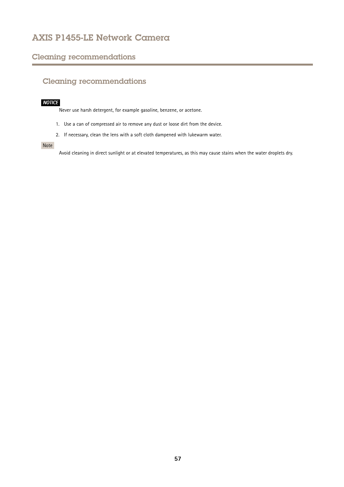# <span id="page-56-0"></span>Cleaning recommendations

# Cleaning recommendations

## *NOTICE*

Never use harsh detergent, for example gasoline, benzene, or acetone.

- 1. Use <sup>a</sup> can of compressed air to remove any dust or loose dirt from the device.
- 2. If necessary, clean the lens with <sup>a</sup> soft cloth dampened with lukewarm water.

## Note

Avoid cleaning in direct sunlight or at elevated temperatures, as this may cause stains when the water droplets dry.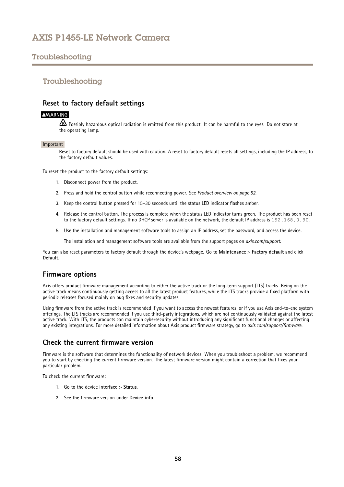# <span id="page-57-0"></span>Troubleshooting

## Troubleshooting

## **Reset to factory default settings**

## **WARNING**

 $\sqrt{m}$  Possibly hazardous optical radiation is emitted from this product. It can be harmful to the eyes. Do not stare at the operating lamp.

#### Important

Reset to factory default should be used with caution. A reset to factory default resets all settings, including the IP address, to the factory default values.

To reset the product to the factory default settings:

- 1. Disconnect power from the product.
- 2. Press and hold the control button while reconnecting power. See *Product [overview](#page-51-0) on page [52](#page-51-0)*.
- 3. Keep the control button pressed for 15–30 seconds until the status LED indicator flashes amber.
- 4. Release the control button. The process is complete when the status LED indicator turns green. The product has been reset to the factory default settings. If no DHCP server is available on the network, the default IP address is 192.168.0.90.
- 5. Use the installation and management software tools to assign an IP address, set the password, and access the device.

The installation and management software tools are available from the support pages on *[axis.com/support](https://www.axis.com/support)*.

You can also reset parameters to factory default through the device's webpage. Go to **Maintenance** <sup>&</sup>gt; **Factory default** and click **Default**.

## **Firmware options**

Axis offers product firmware management according to either the active track or the long-term support (LTS) tracks. Being on the active track means continuously getting access to all the latest product features, while the LTS tracks provide <sup>a</sup> fixed platform with periodic releases focused mainly on bug fixes and security updates.

Using firmware from the active track is recommended if you want to access the newest features, or if you use Axis end-to-end system offerings. The LTS tracks are recommended if you use third-party integrations, which are not continuously validated against the latest active track. With LTS, the products can maintain cybersecurity without introducing any significant functional changes or affecting any existing integrations. For more detailed information about Axis product firmware strategy, go to *[axis.com/support/firmware](https://www.axis.com/support/firmware)*.

## **Check the current firmware version**

Firmware is the software that determines the functionality of network devices. When you troubleshoot <sup>a</sup> problem, we recommend you to start by checking the current firmware version. The latest firmware version might contain <sup>a</sup> correction that fixes your particular problem.

To check the current firmware:

- 1. Go to the device interface <sup>&</sup>gt; **Status**.
- 2. See the firmware version under **Device info**.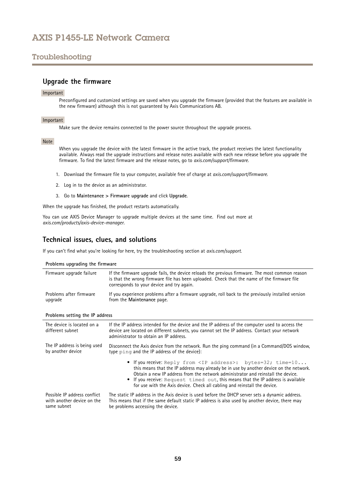# <span id="page-58-0"></span>Troubleshooting

## **Upgrade the firmware**

### Important

Preconfigured and customized settings are saved when you upgrade the firmware (provided that the features are available in the new firmware) although this is not guaranteed by Axis Communications AB.

## Important

Make sure the device remains connected to the power source throughout the upgrade process.

#### Note

When you upgrade the device with the latest firmware in the active track, the product receives the latest functionality available. Always read the upgrade instructions and release notes available with each new release before you upgrade the firmware. To find the latest firmware and the release notes, go to *[axis.com/support/firmware](https://www.axis.com/support/firmware)*.

- 1. Download the firmware file to your computer, available free of charge at *[axis.com/support/firmware](https://www.axis.com/support/firmware)*.
- 2. Log in to the device as an administrator.
- 3. Go to **Maintenance <sup>&</sup>gt; Firmware upgrade** and click **Upgrade**.

When the upgrade has finished, the product restarts automatically.

You can use AXIS Device Manager to upgrade multiple devices at the same time. Find out more at *[axis.com/products/axis-device-manager](https://www.axis.com/products/axis-device-manager)*.

## **Technical issues, clues, and solutions**

If you can't find what you're looking for here, try the troubleshooting section at *[axis.com/support](https://www.axis.com/support)*.

| Problems upgrading the firmware                                           |                                                                                                                                                                                                                                                                                                                                                                                                                         |  |  |
|---------------------------------------------------------------------------|-------------------------------------------------------------------------------------------------------------------------------------------------------------------------------------------------------------------------------------------------------------------------------------------------------------------------------------------------------------------------------------------------------------------------|--|--|
| Firmware upgrade failure                                                  | If the firmware upgrade fails, the device reloads the previous firmware. The most common reason<br>is that the wrong firmware file has been uploaded. Check that the name of the firmware file<br>corresponds to your device and try again.                                                                                                                                                                             |  |  |
| Problems after firmware<br>upgrade                                        | If you experience problems after a firmware upgrade, roll back to the previously installed version<br>from the Maintenance page.                                                                                                                                                                                                                                                                                        |  |  |
| Problems setting the IP address                                           |                                                                                                                                                                                                                                                                                                                                                                                                                         |  |  |
| The device is located on a<br>different subnet                            | If the IP address intended for the device and the IP address of the computer used to access the<br>device are located on different subnets, you cannot set the IP address. Contact your network<br>administrator to obtain an IP address.                                                                                                                                                                               |  |  |
| The IP address is being used<br>by another device                         | Disconnect the Axis device from the network. Run the ping command (in a Command/DOS window,<br>type ping and the IP address of the device):                                                                                                                                                                                                                                                                             |  |  |
|                                                                           | • If you receive: Reply from <ip address="">: bytes=32; time=10<br/>this means that the IP address may already be in use by another device on the network.<br/>Obtain a new IP address from the network administrator and reinstall the device.<br/>• If you receive: Request timed out, this means that the IP address is available<br/>for use with the Axis device. Check all cabling and reinstall the device.</ip> |  |  |
| Possible IP address conflict<br>with another device on the<br>same subnet | The static IP address in the Axis device is used before the DHCP server sets a dynamic address.<br>This means that if the same default static IP address is also used by another device, there may<br>be problems accessing the device.                                                                                                                                                                                 |  |  |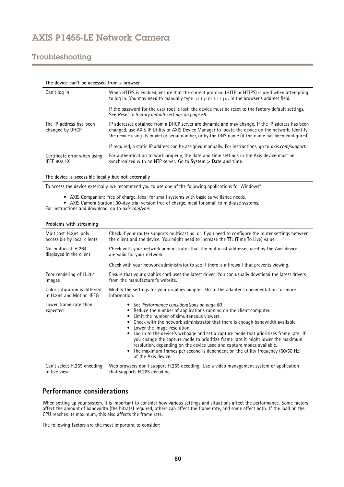# <span id="page-59-0"></span>Troubleshooting

| The device can't be accessed from a browser        |                                                                                                                                                                                                                                                                                                            |  |
|----------------------------------------------------|------------------------------------------------------------------------------------------------------------------------------------------------------------------------------------------------------------------------------------------------------------------------------------------------------------|--|
| Can't log in                                       | When HTTPS is enabled, ensure that the correct protocol (HTTP or HTTPS) is used when attempting<br>to log in. You may need to manually type http or https in the browser's address field.                                                                                                                  |  |
|                                                    | If the password for the user root is lost, the device must be reset to the factory default settings.<br>See Reset to factory default settings on page 58.                                                                                                                                                  |  |
| The IP address has been<br>changed by DHCP         | IP addresses obtained from a DHCP server are dynamic and may change. If the IP address has been<br>changed, use AXIS IP Utility or AXIS Device Manager to locate the device on the network. Identify<br>the device using its model or serial number, or by the DNS name (if the name has been configured). |  |
|                                                    | If required, a static IP address can be assigned manually. For instructions, go to <i>axis.com/support.</i>                                                                                                                                                                                                |  |
| Certificate error when using<br><b>IEEE 802.1X</b> | For authentication to work properly, the date and time settings in the Axis device must be<br>synchronized with an NTP server. Go to System > Date and time.                                                                                                                                               |  |

#### **The device is accessible locally but not externally**

To access the device externally, we recommend you to use one of the following applications for Windows® :

- AXIS Companion: free of charge, ideal for small systems with basic surveillance needs.
- AXIS Camera Station: 30-day trial version free of charge, ideal for small to mid-size systems.

For instructions and download, go to *[axis.com/vms](https://www.axis.com/vms)*.

### **Problems with streaming**

| Multicast H.264 only              | Check if your router supports multicasting, or if you need to configure the router settings between                                                                                                                                                                                                                                                                                                                                                                                                                                                                                                                                                          |
|-----------------------------------|--------------------------------------------------------------------------------------------------------------------------------------------------------------------------------------------------------------------------------------------------------------------------------------------------------------------------------------------------------------------------------------------------------------------------------------------------------------------------------------------------------------------------------------------------------------------------------------------------------------------------------------------------------------|
| accessible by local clients       | the client and the device. You might need to increase the TTL (Time To Live) value.                                                                                                                                                                                                                                                                                                                                                                                                                                                                                                                                                                          |
| No multicast H.264                | Check with your network administrator that the multicast addresses used by the Axis device                                                                                                                                                                                                                                                                                                                                                                                                                                                                                                                                                                   |
| displayed in the client           | are valid for your network.                                                                                                                                                                                                                                                                                                                                                                                                                                                                                                                                                                                                                                  |
|                                   | Check with your network administrator to see if there is a firewall that prevents viewing.                                                                                                                                                                                                                                                                                                                                                                                                                                                                                                                                                                   |
| Poor rendering of H.264           | Ensure that your graphics card uses the latest driver. You can usually download the latest drivers                                                                                                                                                                                                                                                                                                                                                                                                                                                                                                                                                           |
| images                            | from the manufacturer's website.                                                                                                                                                                                                                                                                                                                                                                                                                                                                                                                                                                                                                             |
| Color saturation is different     | Modify the settings for your graphics adapter. Go to the adapter's documentation for more                                                                                                                                                                                                                                                                                                                                                                                                                                                                                                                                                                    |
| in H.264 and Motion JPEG          | information.                                                                                                                                                                                                                                                                                                                                                                                                                                                                                                                                                                                                                                                 |
| Lower frame rate than<br>expected | • See Performance considerations on page 60.<br>Reduce the number of applications running on the client computer.<br>Limit the number of simultaneous viewers.<br>٠<br>Check with the network administrator that there is enough bandwidth available.<br>Lower the image resolution.<br>٠<br>Log in to the device's webpage and set a capture mode that prioritizes frame rate. If<br>٠<br>you change the capture mode to prioritize frame rate it might lower the maximum<br>resolution, depending on the device used and capture modes available.<br>The maximum frames per second is dependent on the utility frequency (60/50 Hz)<br>of the Axis device. |
| Can't select H.265 encoding       | Web browsers don't support H.265 decoding. Use a video management system or application                                                                                                                                                                                                                                                                                                                                                                                                                                                                                                                                                                      |

in live view that supports H.265 decoding.

## **Performance considerations**

When setting up your system, it is important to consider how various settings and situations affect the performance. Some factors affect the amount of bandwidth (the bitrate) required, others can affect the frame rate, and some affect both. If the load on the CPU reaches its maximum, this also affects the frame rate.

The following factors are the most important to consider: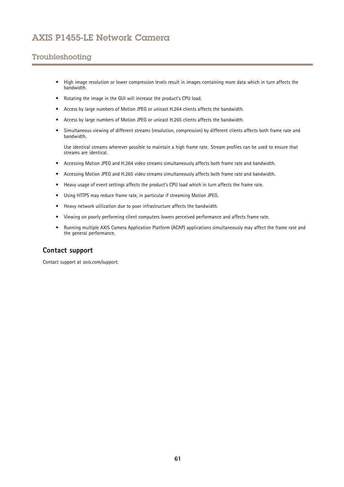# <span id="page-60-0"></span>Troubleshooting

- • High image resolution or lower compression levels result in images containing more data which in turn affects the bandwidth.
- Rotating the image in the GUI will increase the product's CPU load.
- •Access by large numbers of Motion JPEG or unicast H.264 clients affects the bandwidth.
- •Access by large numbers of Motion JPEG or unicast H.265 clients affects the bandwidth.
- • Simultaneous viewing of different streams (resolution, compression) by different clients affects both frame rate and bandwidth.

Use identical streams wherever possible to maintain <sup>a</sup> high frame rate. Stream profiles can be used to ensure that streams are identical.

- Accessing Motion JPEG and H.264 video streams simultaneously affects both frame rate and bandwidth.
- •Accessing Motion JPEG and H.265 video streams simultaneously affects both frame rate and bandwidth.
- Heavy usage of event settings affects the product's CPU load which in turn affects the frame rate.
- $\bullet$ Using HTTPS may reduce frame rate, in particular if streaming Motion JPEG.
- •Heavy network utilization due to poor infrastructure affects the bandwidth.
- •Viewing on poorly performing client computers lowers perceived performance and affects frame rate.
- • Running multiple AXIS Camera Application Platform (ACAP) applications simultaneously may affect the frame rate and the general performance.

# **Contact support**

Contact support at *[axis.com/support](https://www.axis.com/support)*.